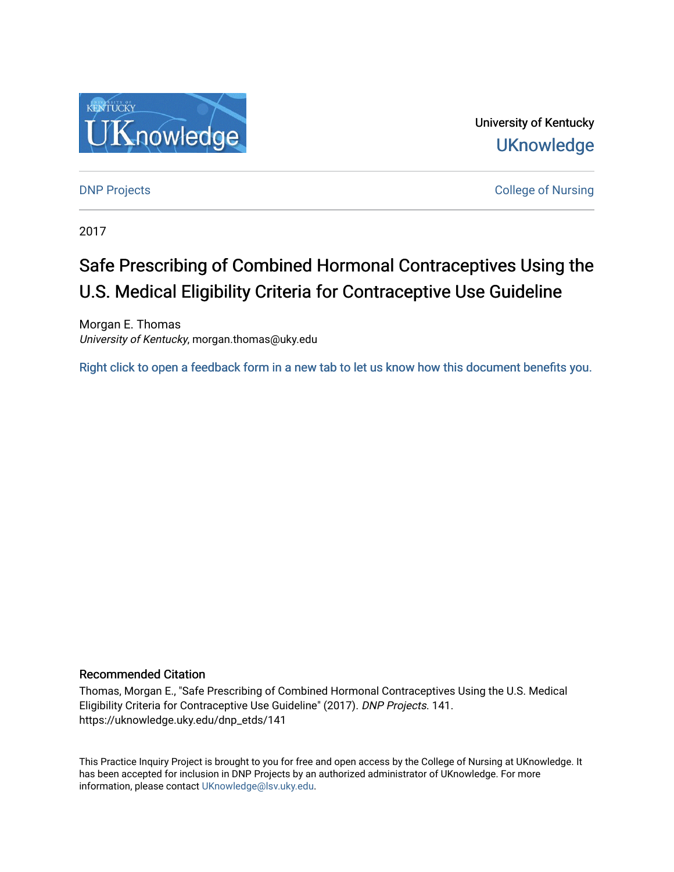

University of Kentucky **UKnowledge** 

**DNP Projects** College of Nursing

2017

# Safe Prescribing of Combined Hormonal Contraceptives Using the U.S. Medical Eligibility Criteria for Contraceptive Use Guideline

Morgan E. Thomas University of Kentucky, morgan.thomas@uky.edu

[Right click to open a feedback form in a new tab to let us know how this document benefits you.](https://uky.az1.qualtrics.com/jfe/form/SV_9mq8fx2GnONRfz7)

#### Recommended Citation

Thomas, Morgan E., "Safe Prescribing of Combined Hormonal Contraceptives Using the U.S. Medical Eligibility Criteria for Contraceptive Use Guideline" (2017). DNP Projects. 141. https://uknowledge.uky.edu/dnp\_etds/141

This Practice Inquiry Project is brought to you for free and open access by the College of Nursing at UKnowledge. It has been accepted for inclusion in DNP Projects by an authorized administrator of UKnowledge. For more information, please contact [UKnowledge@lsv.uky.edu](mailto:UKnowledge@lsv.uky.edu).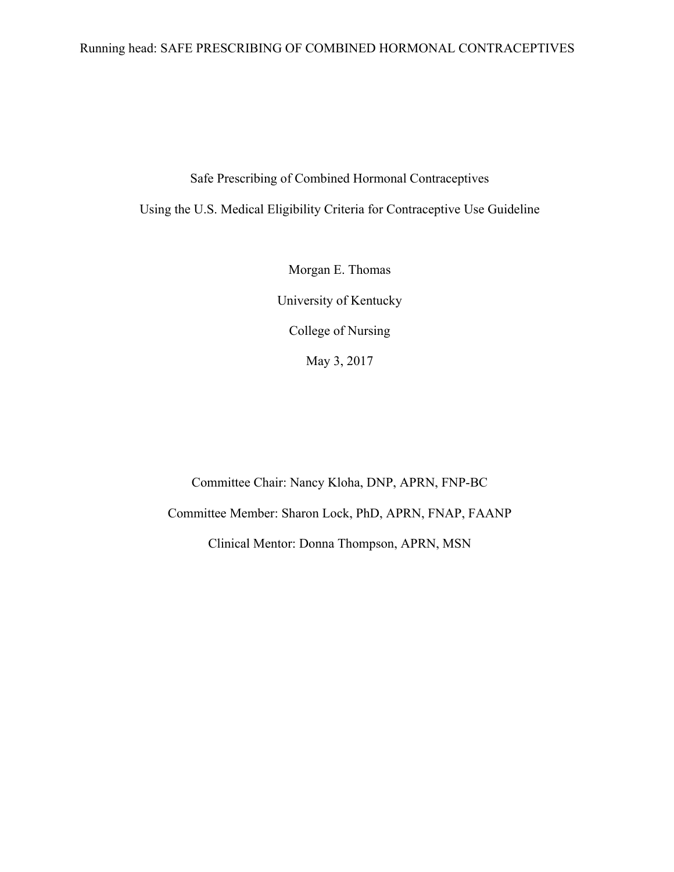### Running head: SAFE PRESCRIBING OF COMBINED HORMONAL CONTRACEPTIVES

Safe Prescribing of Combined Hormonal Contraceptives

Using the U.S. Medical Eligibility Criteria for Contraceptive Use Guideline

Morgan E. Thomas University of Kentucky College of Nursing May 3, 2017

Committee Chair: Nancy Kloha, DNP, APRN, FNP-BC Committee Member: Sharon Lock, PhD, APRN, FNAP, FAANP Clinical Mentor: Donna Thompson, APRN, MSN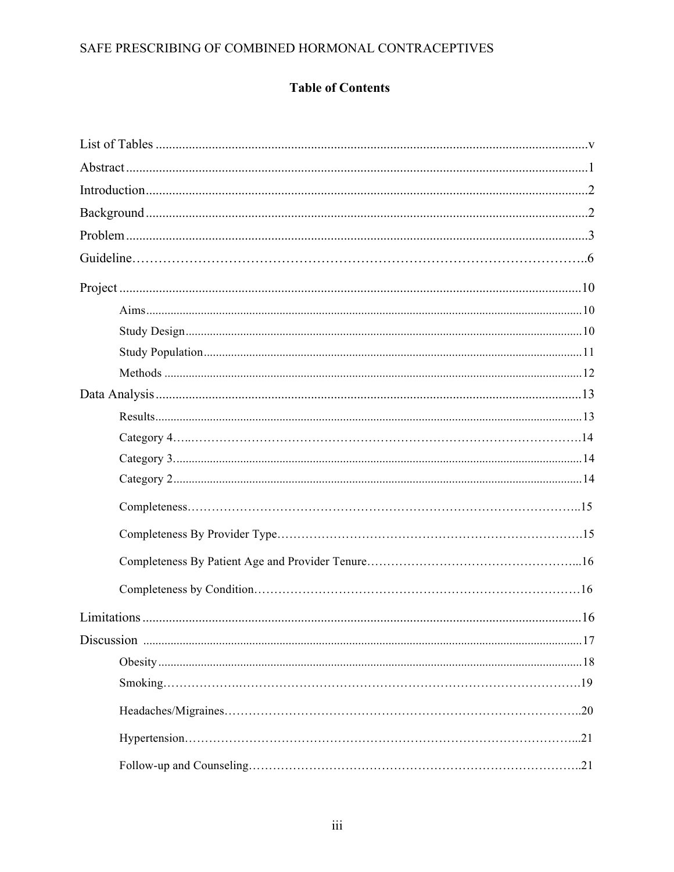# **Table of Contents**

| .20 |  |
|-----|--|
|     |  |
|     |  |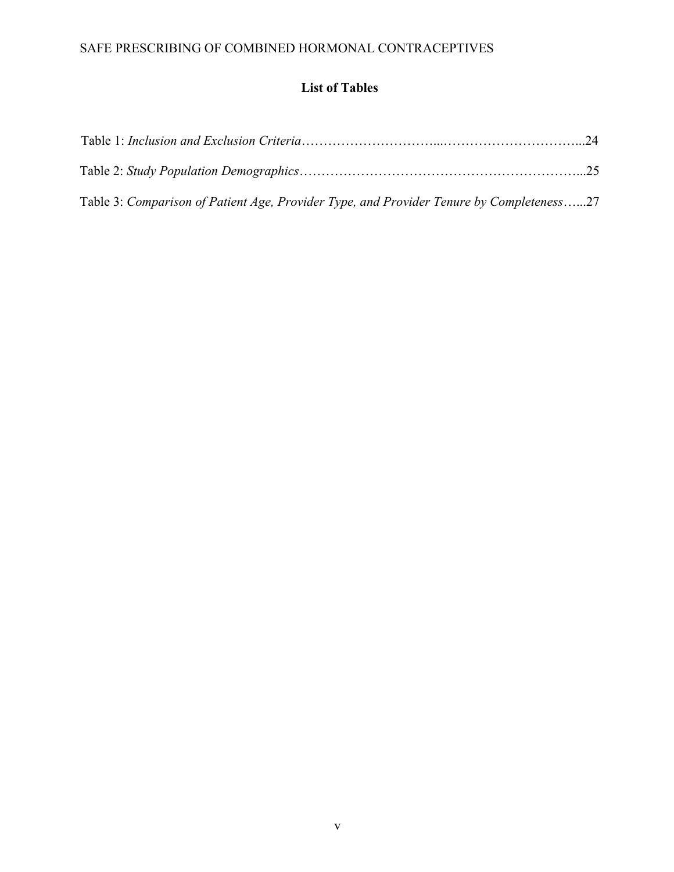### **List of Tables**

| Table 3: Comparison of Patient Age, Provider Type, and Provider Tenure by Completeness27 |  |
|------------------------------------------------------------------------------------------|--|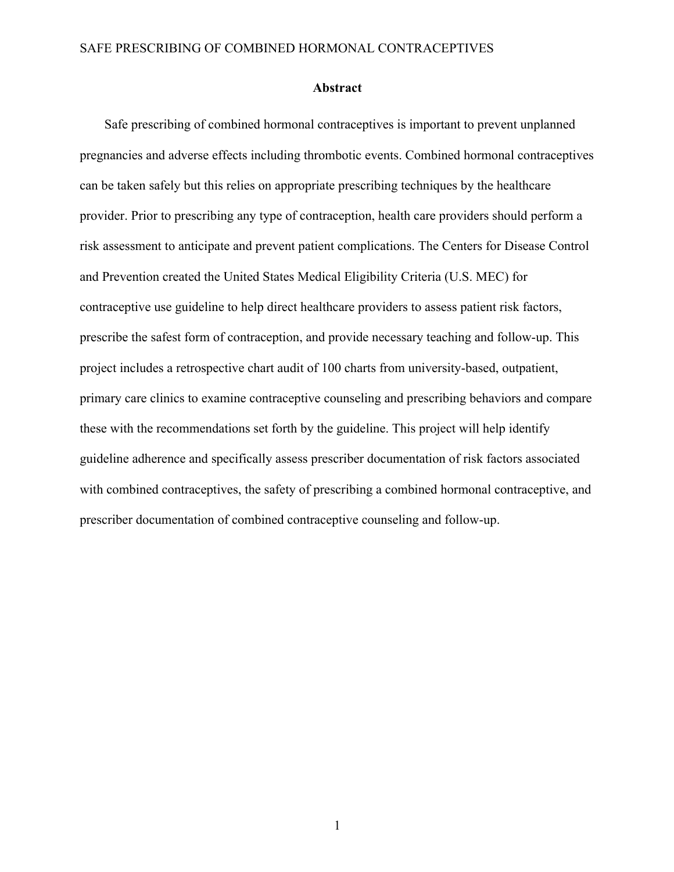#### **Abstract**

Safe prescribing of combined hormonal contraceptives is important to prevent unplanned pregnancies and adverse effects including thrombotic events. Combined hormonal contraceptives can be taken safely but this relies on appropriate prescribing techniques by the healthcare provider. Prior to prescribing any type of contraception, health care providers should perform a risk assessment to anticipate and prevent patient complications. The Centers for Disease Control and Prevention created the United States Medical Eligibility Criteria (U.S. MEC) for contraceptive use guideline to help direct healthcare providers to assess patient risk factors, prescribe the safest form of contraception, and provide necessary teaching and follow-up. This project includes a retrospective chart audit of 100 charts from university-based, outpatient, primary care clinics to examine contraceptive counseling and prescribing behaviors and compare these with the recommendations set forth by the guideline. This project will help identify guideline adherence and specifically assess prescriber documentation of risk factors associated with combined contraceptives, the safety of prescribing a combined hormonal contraceptive, and prescriber documentation of combined contraceptive counseling and follow-up.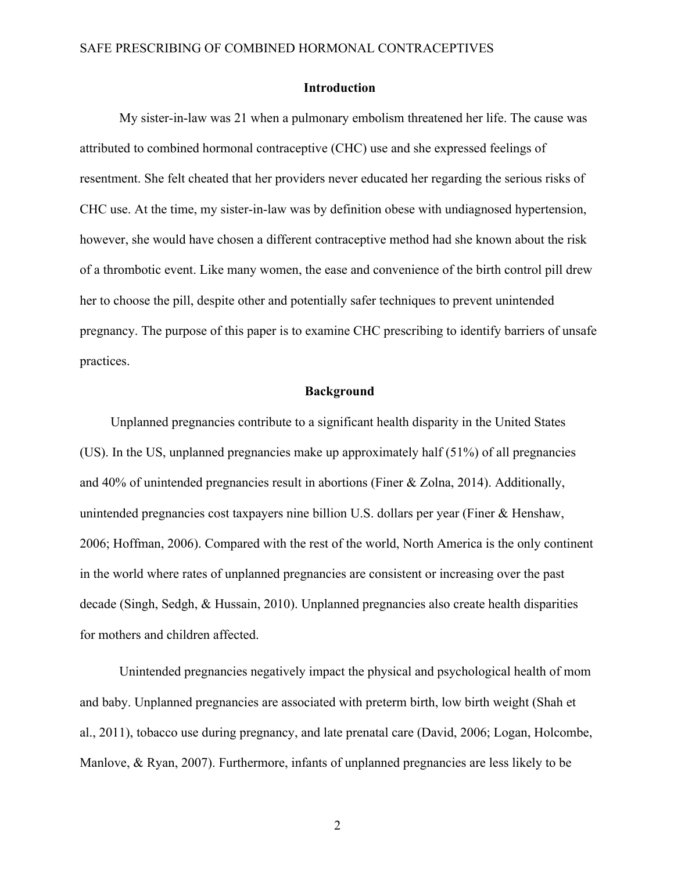#### **Introduction**

My sister-in-law was 21 when a pulmonary embolism threatened her life. The cause was attributed to combined hormonal contraceptive (CHC) use and she expressed feelings of resentment. She felt cheated that her providers never educated her regarding the serious risks of CHC use. At the time, my sister-in-law was by definition obese with undiagnosed hypertension, however, she would have chosen a different contraceptive method had she known about the risk of a thrombotic event. Like many women, the ease and convenience of the birth control pill drew her to choose the pill, despite other and potentially safer techniques to prevent unintended pregnancy. The purpose of this paper is to examine CHC prescribing to identify barriers of unsafe practices.

#### **Background**

Unplanned pregnancies contribute to a significant health disparity in the United States (US). In the US, unplanned pregnancies make up approximately half (51%) of all pregnancies and 40% of unintended pregnancies result in abortions (Finer & Zolna, 2014). Additionally, unintended pregnancies cost taxpayers nine billion U.S. dollars per year (Finer & Henshaw, 2006; Hoffman, 2006). Compared with the rest of the world, North America is the only continent in the world where rates of unplanned pregnancies are consistent or increasing over the past decade (Singh, Sedgh, & Hussain, 2010). Unplanned pregnancies also create health disparities for mothers and children affected.

Unintended pregnancies negatively impact the physical and psychological health of mom and baby. Unplanned pregnancies are associated with preterm birth, low birth weight (Shah et al., 2011), tobacco use during pregnancy, and late prenatal care (David, 2006; Logan, Holcombe, Manlove, & Ryan, 2007). Furthermore, infants of unplanned pregnancies are less likely to be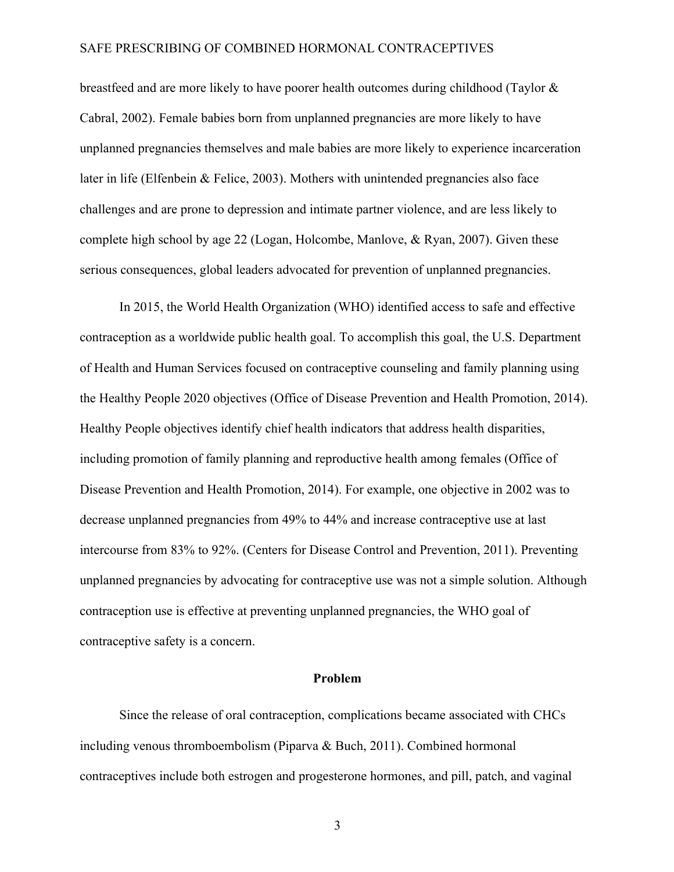breastfeed and are more likely to have poorer health outcomes during childhood (Taylor & Cabral, 2002). Female babies born from unplanned pregnancies are more likely to have unplanned pregnancies themselves and male babies are more likely to experience incarceration later in life (Elfenbein & Felice, 2003). Mothers with unintended pregnancies also face challenges and are prone to depression and intimate partner violence, and are less likely to complete high school by age 22 (Logan, Holcombe, Manlove, & Ryan, 2007). Given these serious consequences, global leaders advocated for prevention of unplanned pregnancies.

In 2015, the World Health Organization (WHO) identified access to safe and effective contraception as a worldwide public health goal. To accomplish this goal, the U.S. Department of Health and Human Services focused on contraceptive counseling and family planning using the Healthy People 2020 objectives (Office of Disease Prevention and Health Promotion, 2014). Healthy People objectives identify chief health indicators that address health disparities, including promotion of family planning and reproductive health among females (Office of Disease Prevention and Health Promotion, 2014). For example, one objective in 2002 was to decrease unplanned pregnancies from 49% to 44% and increase contraceptive use at last intercourse from 83% to 92%. (Centers for Disease Control and Prevention, 2011). Preventing unplanned pregnancies by advocating for contraceptive use was not a simple solution. Although contraception use is effective at preventing unplanned pregnancies, the WHO goal of contraceptive safety is a concern.

#### **Problem**

Since the release of oral contraception, complications became associated with CHCs including venous thromboembolism (Piparva & Buch, 2011). Combined hormonal contraceptives include both estrogen and progesterone hormones, and pill, patch, and vaginal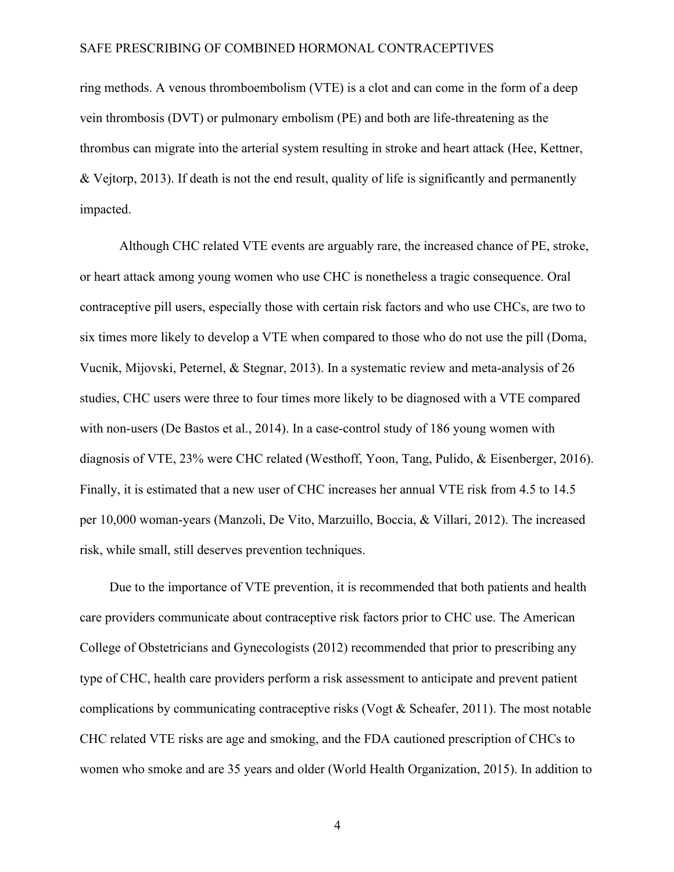ring methods. A venous thromboembolism (VTE) is a clot and can come in the form of a deep vein thrombosis (DVT) or pulmonary embolism (PE) and both are life-threatening as the thrombus can migrate into the arterial system resulting in stroke and heart attack (Hee, Kettner, & Vejtorp, 2013). If death is not the end result, quality of life is significantly and permanently impacted.

Although CHC related VTE events are arguably rare, the increased chance of PE, stroke, or heart attack among young women who use CHC is nonetheless a tragic consequence. Oral contraceptive pill users, especially those with certain risk factors and who use CHCs, are two to six times more likely to develop a VTE when compared to those who do not use the pill (Doma, Vucnik, Mijovski, Peternel, & Stegnar, 2013). In a systematic review and meta-analysis of 26 studies, CHC users were three to four times more likely to be diagnosed with a VTE compared with non-users (De Bastos et al., 2014). In a case-control study of 186 young women with diagnosis of VTE, 23% were CHC related (Westhoff, Yoon, Tang, Pulido, & Eisenberger, 2016). Finally, it is estimated that a new user of CHC increases her annual VTE risk from 4.5 to 14.5 per 10,000 woman-years (Manzoli, De Vito, Marzuillo, Boccia, & Villari, 2012). The increased risk, while small, still deserves prevention techniques.

Due to the importance of VTE prevention, it is recommended that both patients and health care providers communicate about contraceptive risk factors prior to CHC use. The American College of Obstetricians and Gynecologists (2012) recommended that prior to prescribing any type of CHC, health care providers perform a risk assessment to anticipate and prevent patient complications by communicating contraceptive risks (Vogt & Scheafer, 2011). The most notable CHC related VTE risks are age and smoking, and the FDA cautioned prescription of CHCs to women who smoke and are 35 years and older (World Health Organization, 2015). In addition to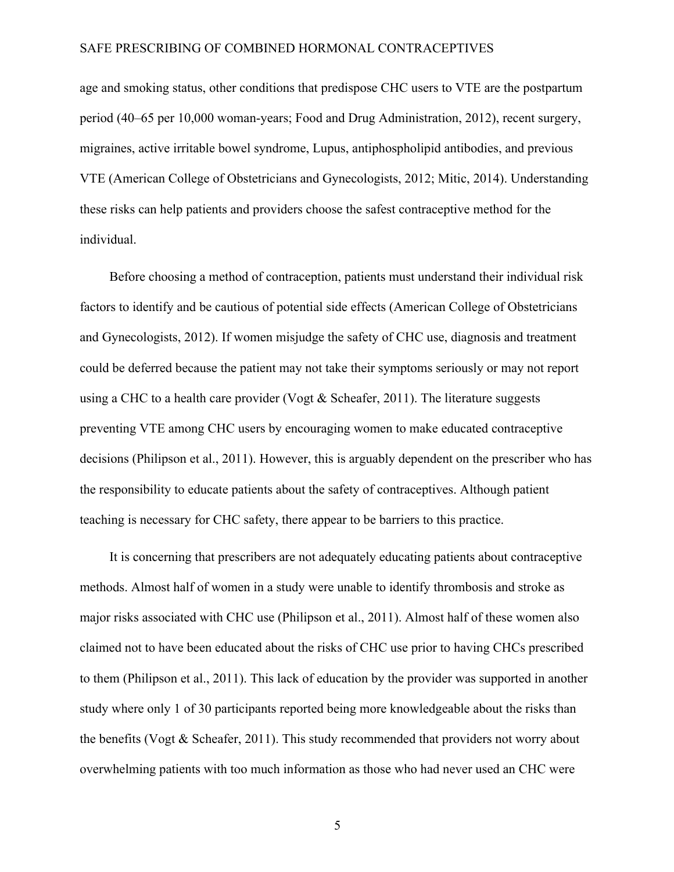age and smoking status, other conditions that predispose CHC users to VTE are the postpartum period (40–65 per 10,000 woman-years; Food and Drug Administration, 2012), recent surgery, migraines, active irritable bowel syndrome, Lupus, antiphospholipid antibodies, and previous VTE (American College of Obstetricians and Gynecologists, 2012; Mitic, 2014). Understanding these risks can help patients and providers choose the safest contraceptive method for the individual.

Before choosing a method of contraception, patients must understand their individual risk factors to identify and be cautious of potential side effects (American College of Obstetricians and Gynecologists, 2012). If women misjudge the safety of CHC use, diagnosis and treatment could be deferred because the patient may not take their symptoms seriously or may not report using a CHC to a health care provider (Vogt & Scheafer, 2011). The literature suggests preventing VTE among CHC users by encouraging women to make educated contraceptive decisions (Philipson et al., 2011). However, this is arguably dependent on the prescriber who has the responsibility to educate patients about the safety of contraceptives. Although patient teaching is necessary for CHC safety, there appear to be barriers to this practice.

It is concerning that prescribers are not adequately educating patients about contraceptive methods. Almost half of women in a study were unable to identify thrombosis and stroke as major risks associated with CHC use (Philipson et al., 2011). Almost half of these women also claimed not to have been educated about the risks of CHC use prior to having CHCs prescribed to them (Philipson et al., 2011). This lack of education by the provider was supported in another study where only 1 of 30 participants reported being more knowledgeable about the risks than the benefits (Vogt & Scheafer, 2011). This study recommended that providers not worry about overwhelming patients with too much information as those who had never used an CHC were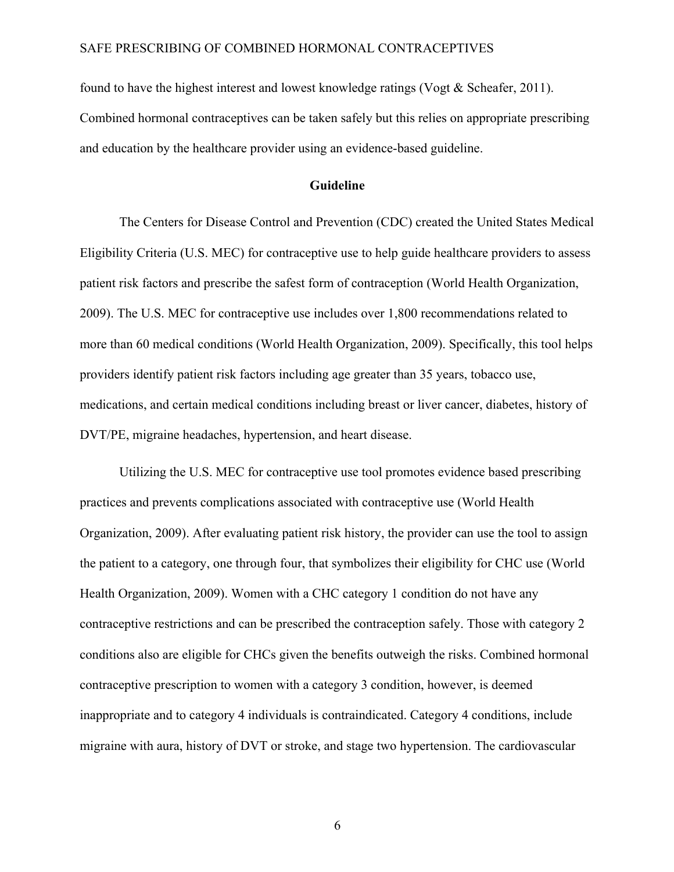found to have the highest interest and lowest knowledge ratings (Vogt & Scheafer, 2011). Combined hormonal contraceptives can be taken safely but this relies on appropriate prescribing and education by the healthcare provider using an evidence-based guideline.

#### **Guideline**

The Centers for Disease Control and Prevention (CDC) created the United States Medical Eligibility Criteria (U.S. MEC) for contraceptive use to help guide healthcare providers to assess patient risk factors and prescribe the safest form of contraception (World Health Organization, 2009). The U.S. MEC for contraceptive use includes over 1,800 recommendations related to more than 60 medical conditions (World Health Organization, 2009). Specifically, this tool helps providers identify patient risk factors including age greater than 35 years, tobacco use, medications, and certain medical conditions including breast or liver cancer, diabetes, history of DVT/PE, migraine headaches, hypertension, and heart disease.

Utilizing the U.S. MEC for contraceptive use tool promotes evidence based prescribing practices and prevents complications associated with contraceptive use (World Health Organization, 2009). After evaluating patient risk history, the provider can use the tool to assign the patient to a category, one through four, that symbolizes their eligibility for CHC use (World Health Organization, 2009). Women with a CHC category 1 condition do not have any contraceptive restrictions and can be prescribed the contraception safely. Those with category 2 conditions also are eligible for CHCs given the benefits outweigh the risks. Combined hormonal contraceptive prescription to women with a category 3 condition, however, is deemed inappropriate and to category 4 individuals is contraindicated. Category 4 conditions, include migraine with aura, history of DVT or stroke, and stage two hypertension. The cardiovascular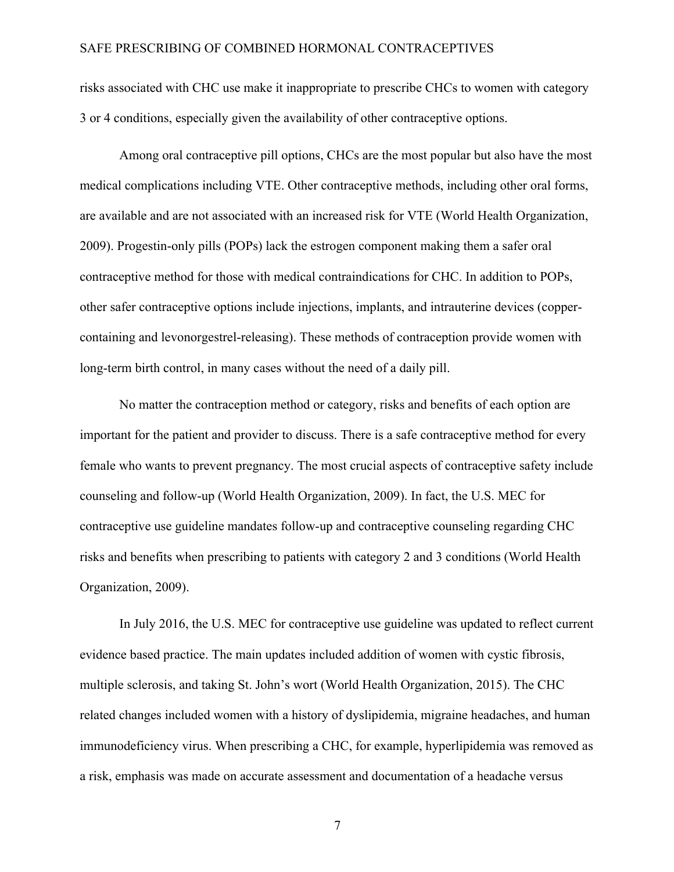risks associated with CHC use make it inappropriate to prescribe CHCs to women with category 3 or 4 conditions, especially given the availability of other contraceptive options.

Among oral contraceptive pill options, CHCs are the most popular but also have the most medical complications including VTE. Other contraceptive methods, including other oral forms, are available and are not associated with an increased risk for VTE (World Health Organization, 2009). Progestin-only pills (POPs) lack the estrogen component making them a safer oral contraceptive method for those with medical contraindications for CHC. In addition to POPs, other safer contraceptive options include injections, implants, and intrauterine devices (coppercontaining and levonorgestrel-releasing). These methods of contraception provide women with long-term birth control, in many cases without the need of a daily pill.

No matter the contraception method or category, risks and benefits of each option are important for the patient and provider to discuss. There is a safe contraceptive method for every female who wants to prevent pregnancy. The most crucial aspects of contraceptive safety include counseling and follow-up (World Health Organization, 2009). In fact, the U.S. MEC for contraceptive use guideline mandates follow-up and contraceptive counseling regarding CHC risks and benefits when prescribing to patients with category 2 and 3 conditions (World Health Organization, 2009).

In July 2016, the U.S. MEC for contraceptive use guideline was updated to reflect current evidence based practice. The main updates included addition of women with cystic fibrosis, multiple sclerosis, and taking St. John's wort (World Health Organization, 2015). The CHC related changes included women with a history of dyslipidemia, migraine headaches, and human immunodeficiency virus. When prescribing a CHC, for example, hyperlipidemia was removed as a risk, emphasis was made on accurate assessment and documentation of a headache versus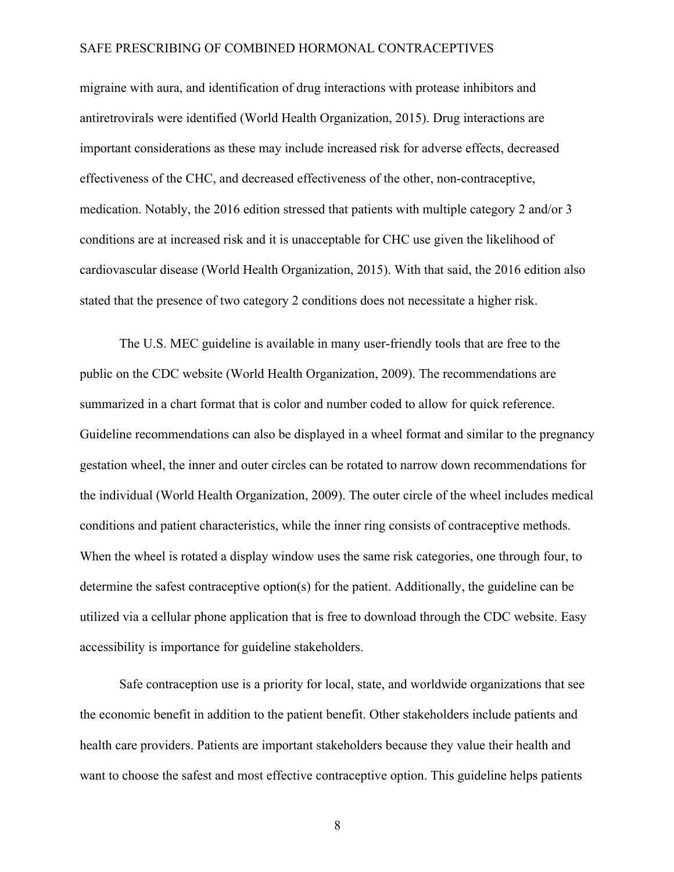migraine with aura, and identification of drug interactions with protease inhibitors and antiretrovirals were identified (World Health Organization, 2015). Drug interactions are important considerations as these may include increased risk for adverse effects, decreased effectiveness of the CHC, and decreased effectiveness of the other, non-contraceptive, medication. Notably, the 2016 edition stressed that patients with multiple category 2 and/or 3 conditions are at increased risk and it is unacceptable for CHC use given the likelihood of cardiovascular disease (World Health Organization, 2015). With that said, the 2016 edition also stated that the presence of two category 2 conditions does not necessitate a higher risk.

The U.S. MEC guideline is available in many user-friendly tools that are free to the public on the CDC website (World Health Organization, 2009). The recommendations are summarized in a chart format that is color and number coded to allow for quick reference. Guideline recommendations can also be displayed in a wheel format and similar to the pregnancy gestation wheel, the inner and outer circles can be rotated to narrow down recommendations for the individual (World Health Organization, 2009). The outer circle of the wheel includes medical conditions and patient characteristics, while the inner ring consists of contraceptive methods. When the wheel is rotated a display window uses the same risk categories, one through four, to determine the safest contraceptive option(s) for the patient. Additionally, the guideline can be utilized via a cellular phone application that is free to download through the CDC website. Easy accessibility is importance for guideline stakeholders.

Safe contraception use is a priority for local, state, and worldwide organizations that see the economic benefit in addition to the patient benefit. Other stakeholders include patients and health care providers. Patients are important stakeholders because they value their health and want to choose the safest and most effective contraceptive option. This guideline helps patients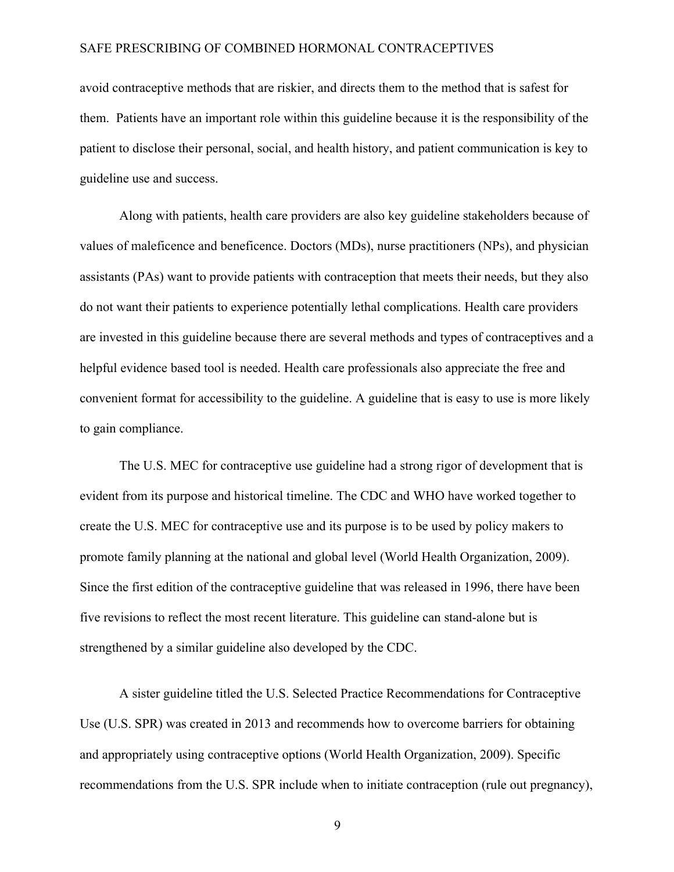avoid contraceptive methods that are riskier, and directs them to the method that is safest for them. Patients have an important role within this guideline because it is the responsibility of the patient to disclose their personal, social, and health history, and patient communication is key to guideline use and success.

Along with patients, health care providers are also key guideline stakeholders because of values of maleficence and beneficence. Doctors (MDs), nurse practitioners (NPs), and physician assistants (PAs) want to provide patients with contraception that meets their needs, but they also do not want their patients to experience potentially lethal complications. Health care providers are invested in this guideline because there are several methods and types of contraceptives and a helpful evidence based tool is needed. Health care professionals also appreciate the free and convenient format for accessibility to the guideline. A guideline that is easy to use is more likely to gain compliance.

The U.S. MEC for contraceptive use guideline had a strong rigor of development that is evident from its purpose and historical timeline. The CDC and WHO have worked together to create the U.S. MEC for contraceptive use and its purpose is to be used by policy makers to promote family planning at the national and global level (World Health Organization, 2009). Since the first edition of the contraceptive guideline that was released in 1996, there have been five revisions to reflect the most recent literature. This guideline can stand-alone but is strengthened by a similar guideline also developed by the CDC.

A sister guideline titled the U.S. Selected Practice Recommendations for Contraceptive Use (U.S. SPR) was created in 2013 and recommends how to overcome barriers for obtaining and appropriately using contraceptive options (World Health Organization, 2009). Specific recommendations from the U.S. SPR include when to initiate contraception (rule out pregnancy),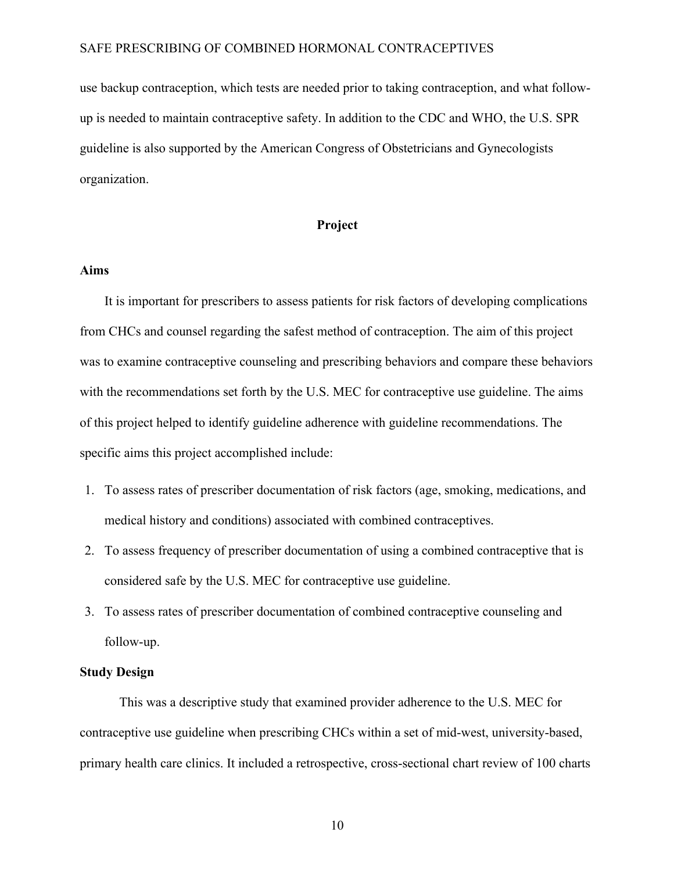use backup contraception, which tests are needed prior to taking contraception, and what followup is needed to maintain contraceptive safety. In addition to the CDC and WHO, the U.S. SPR guideline is also supported by the American Congress of Obstetricians and Gynecologists organization.

#### **Project**

#### **Aims**

It is important for prescribers to assess patients for risk factors of developing complications from CHCs and counsel regarding the safest method of contraception. The aim of this project was to examine contraceptive counseling and prescribing behaviors and compare these behaviors with the recommendations set forth by the U.S. MEC for contraceptive use guideline. The aims of this project helped to identify guideline adherence with guideline recommendations. The specific aims this project accomplished include:

- 1. To assess rates of prescriber documentation of risk factors (age, smoking, medications, and medical history and conditions) associated with combined contraceptives.
- 2. To assess frequency of prescriber documentation of using a combined contraceptive that is considered safe by the U.S. MEC for contraceptive use guideline.
- 3. To assess rates of prescriber documentation of combined contraceptive counseling and follow-up.

#### **Study Design**

This was a descriptive study that examined provider adherence to the U.S. MEC for contraceptive use guideline when prescribing CHCs within a set of mid-west, university-based, primary health care clinics. It included a retrospective, cross-sectional chart review of 100 charts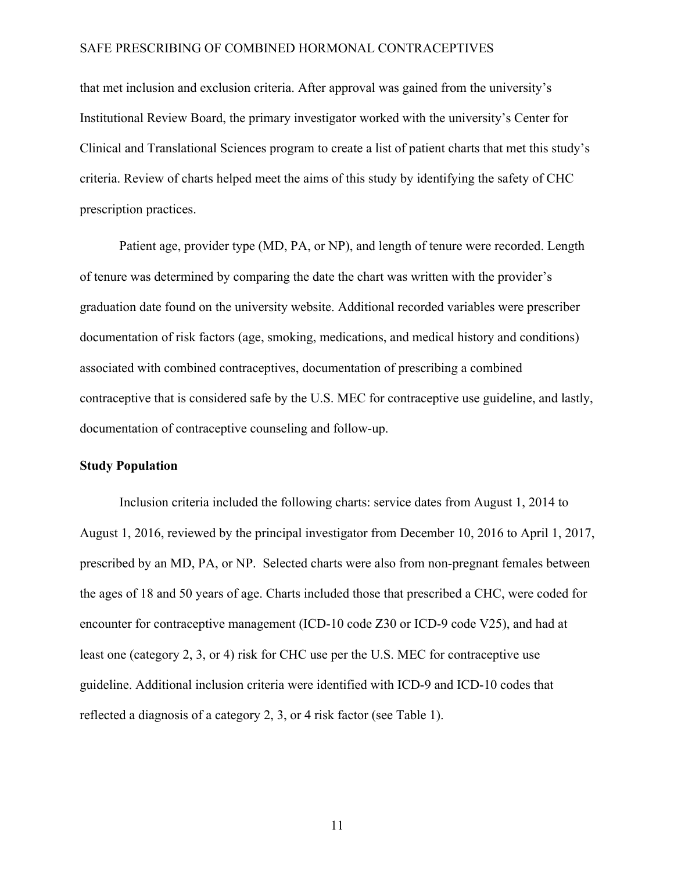that met inclusion and exclusion criteria. After approval was gained from the university's Institutional Review Board, the primary investigator worked with the university's Center for Clinical and Translational Sciences program to create a list of patient charts that met this study's criteria. Review of charts helped meet the aims of this study by identifying the safety of CHC prescription practices.

Patient age, provider type (MD, PA, or NP), and length of tenure were recorded. Length of tenure was determined by comparing the date the chart was written with the provider's graduation date found on the university website. Additional recorded variables were prescriber documentation of risk factors (age, smoking, medications, and medical history and conditions) associated with combined contraceptives, documentation of prescribing a combined contraceptive that is considered safe by the U.S. MEC for contraceptive use guideline, and lastly, documentation of contraceptive counseling and follow-up.

#### **Study Population**

Inclusion criteria included the following charts: service dates from August 1, 2014 to August 1, 2016, reviewed by the principal investigator from December 10, 2016 to April 1, 2017, prescribed by an MD, PA, or NP. Selected charts were also from non-pregnant females between the ages of 18 and 50 years of age. Charts included those that prescribed a CHC, were coded for encounter for contraceptive management (ICD-10 code Z30 or ICD-9 code V25), and had at least one (category 2, 3, or 4) risk for CHC use per the U.S. MEC for contraceptive use guideline. Additional inclusion criteria were identified with ICD-9 and ICD-10 codes that reflected a diagnosis of a category 2, 3, or 4 risk factor (see Table 1).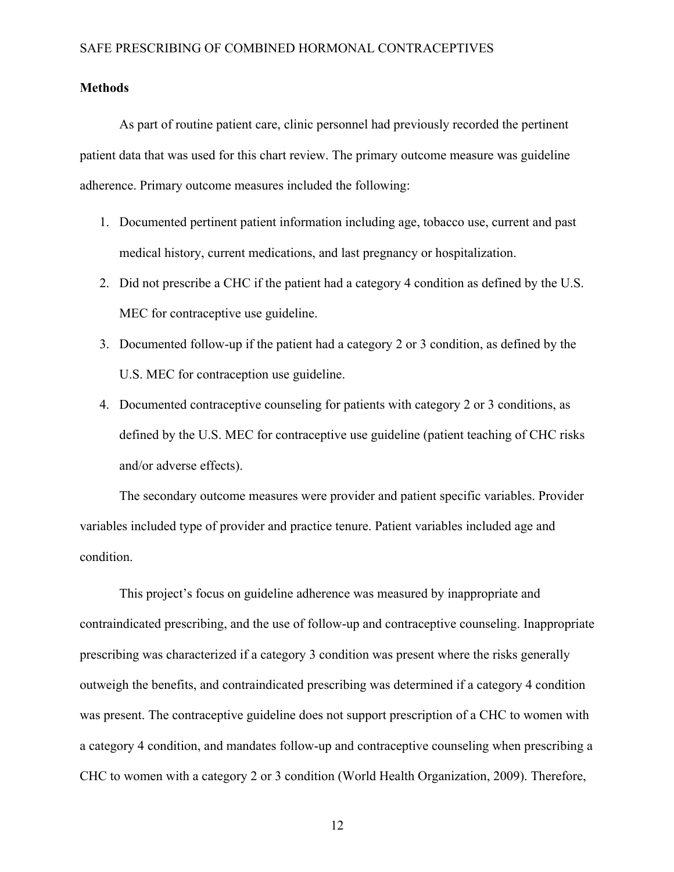#### **Methods**

As part of routine patient care, clinic personnel had previously recorded the pertinent patient data that was used for this chart review. The primary outcome measure was guideline adherence. Primary outcome measures included the following:

- 1. Documented pertinent patient information including age, tobacco use, current and past medical history, current medications, and last pregnancy or hospitalization.
- 2. Did not prescribe a CHC if the patient had a category 4 condition as defined by the U.S. MEC for contraceptive use guideline.
- 3. Documented follow-up if the patient had a category 2 or 3 condition, as defined by the U.S. MEC for contraception use guideline.
- 4. Documented contraceptive counseling for patients with category 2 or 3 conditions, as defined by the U.S. MEC for contraceptive use guideline (patient teaching of CHC risks and/or adverse effects).

The secondary outcome measures were provider and patient specific variables. Provider variables included type of provider and practice tenure. Patient variables included age and condition.

This project's focus on guideline adherence was measured by inappropriate and contraindicated prescribing, and the use of follow-up and contraceptive counseling. Inappropriate prescribing was characterized if a category 3 condition was present where the risks generally outweigh the benefits, and contraindicated prescribing was determined if a category 4 condition was present. The contraceptive guideline does not support prescription of a CHC to women with a category 4 condition, and mandates follow-up and contraceptive counseling when prescribing a CHC to women with a category 2 or 3 condition (World Health Organization, 2009). Therefore,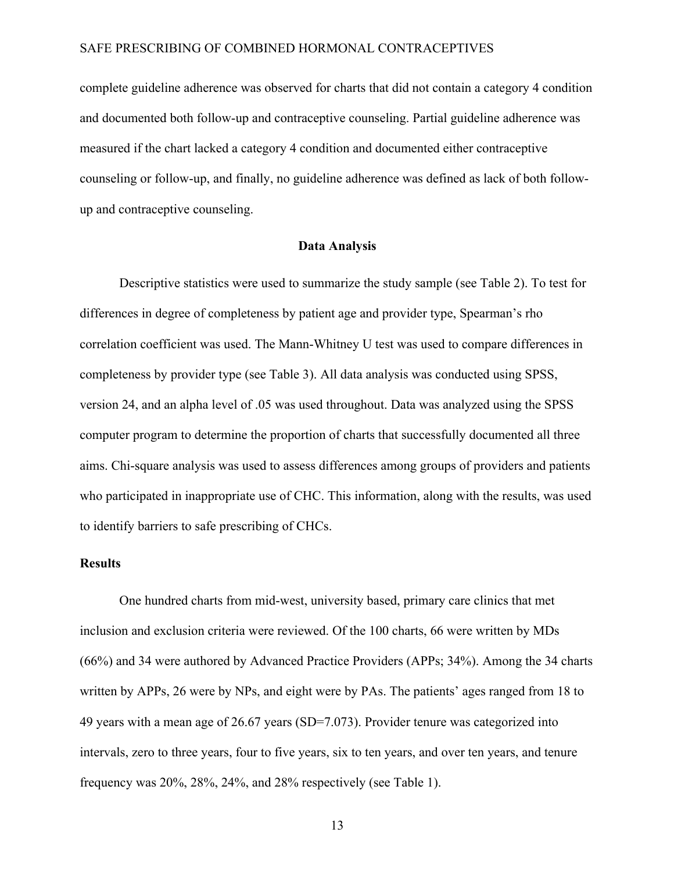complete guideline adherence was observed for charts that did not contain a category 4 condition and documented both follow-up and contraceptive counseling. Partial guideline adherence was measured if the chart lacked a category 4 condition and documented either contraceptive counseling or follow-up, and finally, no guideline adherence was defined as lack of both followup and contraceptive counseling.

#### **Data Analysis**

Descriptive statistics were used to summarize the study sample (see Table 2). To test for differences in degree of completeness by patient age and provider type, Spearman's rho correlation coefficient was used. The Mann-Whitney U test was used to compare differences in completeness by provider type (see Table 3). All data analysis was conducted using SPSS, version 24, and an alpha level of .05 was used throughout. Data was analyzed using the SPSS computer program to determine the proportion of charts that successfully documented all three aims. Chi-square analysis was used to assess differences among groups of providers and patients who participated in inappropriate use of CHC. This information, along with the results, was used to identify barriers to safe prescribing of CHCs.

#### **Results**

One hundred charts from mid-west, university based, primary care clinics that met inclusion and exclusion criteria were reviewed. Of the 100 charts, 66 were written by MDs (66%) and 34 were authored by Advanced Practice Providers (APPs; 34%). Among the 34 charts written by APPs, 26 were by NPs, and eight were by PAs. The patients' ages ranged from 18 to 49 years with a mean age of 26.67 years (SD=7.073). Provider tenure was categorized into intervals, zero to three years, four to five years, six to ten years, and over ten years, and tenure frequency was 20%, 28%, 24%, and 28% respectively (see Table 1).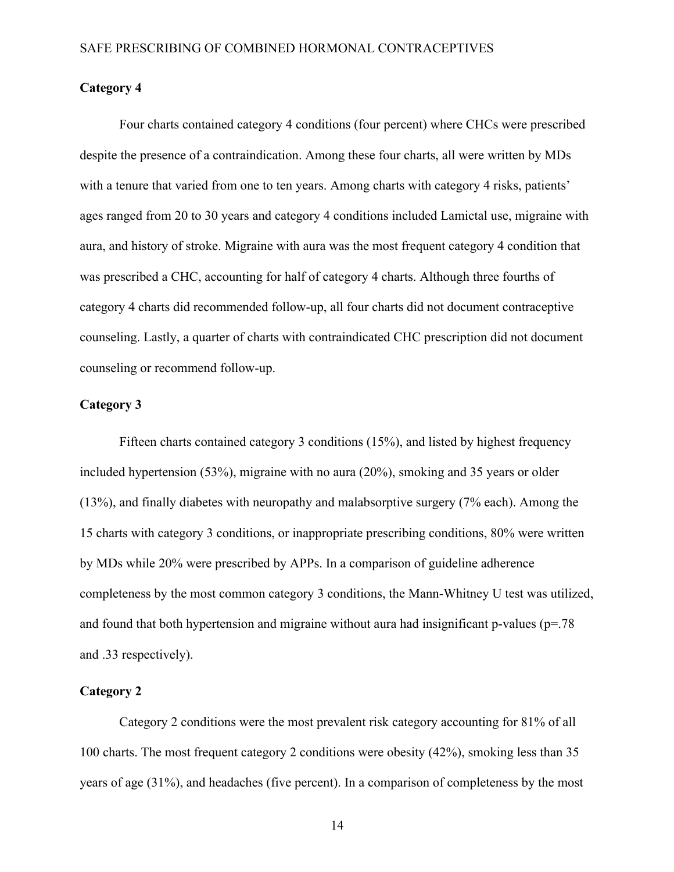#### **Category 4**

Four charts contained category 4 conditions (four percent) where CHCs were prescribed despite the presence of a contraindication. Among these four charts, all were written by MDs with a tenure that varied from one to ten years. Among charts with category 4 risks, patients' ages ranged from 20 to 30 years and category 4 conditions included Lamictal use, migraine with aura, and history of stroke. Migraine with aura was the most frequent category 4 condition that was prescribed a CHC, accounting for half of category 4 charts. Although three fourths of category 4 charts did recommended follow-up, all four charts did not document contraceptive counseling. Lastly, a quarter of charts with contraindicated CHC prescription did not document counseling or recommend follow-up.

#### **Category 3**

Fifteen charts contained category 3 conditions (15%), and listed by highest frequency included hypertension (53%), migraine with no aura (20%), smoking and 35 years or older (13%), and finally diabetes with neuropathy and malabsorptive surgery (7% each). Among the 15 charts with category 3 conditions, or inappropriate prescribing conditions, 80% were written by MDs while 20% were prescribed by APPs. In a comparison of guideline adherence completeness by the most common category 3 conditions, the Mann-Whitney U test was utilized, and found that both hypertension and migraine without aura had insignificant p-values ( $p=78$ ) and .33 respectively).

#### **Category 2**

Category 2 conditions were the most prevalent risk category accounting for 81% of all 100 charts. The most frequent category 2 conditions were obesity (42%), smoking less than 35 years of age (31%), and headaches (five percent). In a comparison of completeness by the most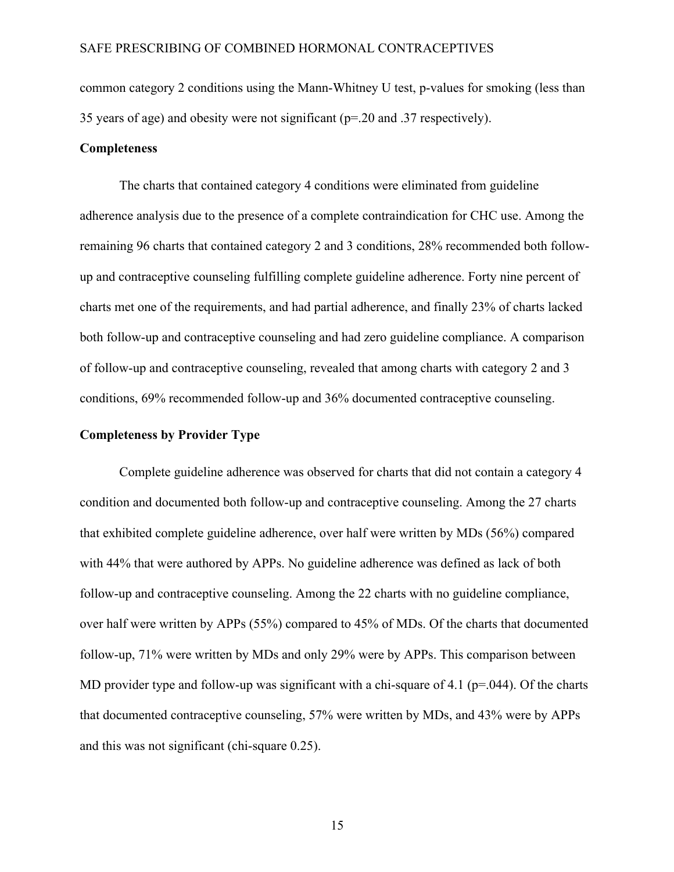common category 2 conditions using the Mann-Whitney U test, p-values for smoking (less than 35 years of age) and obesity were not significant (p=.20 and .37 respectively).

#### **Completeness**

The charts that contained category 4 conditions were eliminated from guideline adherence analysis due to the presence of a complete contraindication for CHC use. Among the remaining 96 charts that contained category 2 and 3 conditions, 28% recommended both followup and contraceptive counseling fulfilling complete guideline adherence. Forty nine percent of charts met one of the requirements, and had partial adherence, and finally 23% of charts lacked both follow-up and contraceptive counseling and had zero guideline compliance. A comparison of follow-up and contraceptive counseling, revealed that among charts with category 2 and 3 conditions, 69% recommended follow-up and 36% documented contraceptive counseling.

#### **Completeness by Provider Type**

Complete guideline adherence was observed for charts that did not contain a category 4 condition and documented both follow-up and contraceptive counseling. Among the 27 charts that exhibited complete guideline adherence, over half were written by MDs (56%) compared with 44% that were authored by APPs. No guideline adherence was defined as lack of both follow-up and contraceptive counseling. Among the 22 charts with no guideline compliance, over half were written by APPs (55%) compared to 45% of MDs. Of the charts that documented follow-up, 71% were written by MDs and only 29% were by APPs. This comparison between MD provider type and follow-up was significant with a chi-square of 4.1 ( $p=0.044$ ). Of the charts that documented contraceptive counseling, 57% were written by MDs, and 43% were by APPs and this was not significant (chi-square 0.25).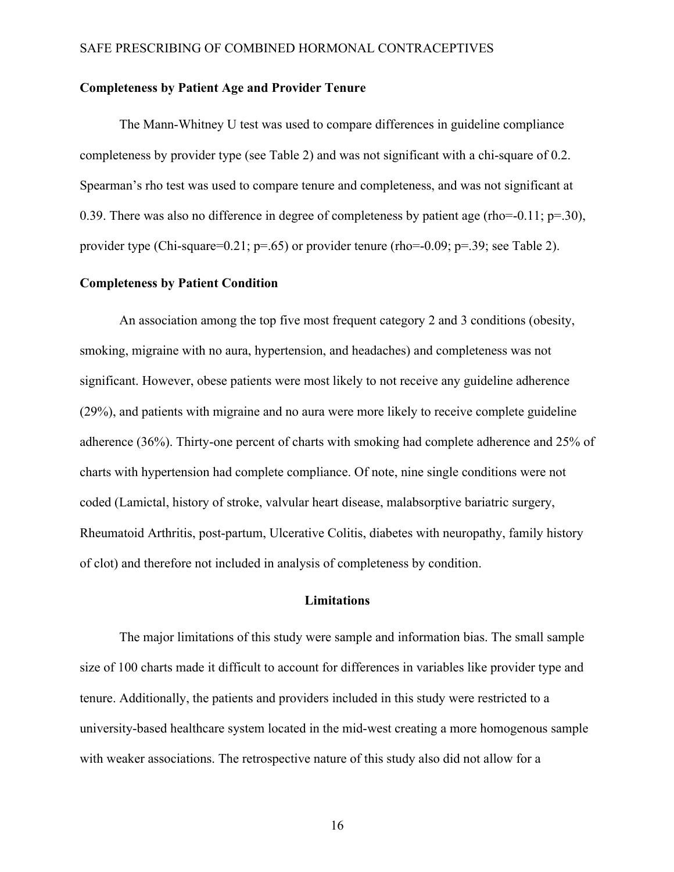#### **Completeness by Patient Age and Provider Tenure**

The Mann-Whitney U test was used to compare differences in guideline compliance completeness by provider type (see Table 2) and was not significant with a chi-square of 0.2. Spearman's rho test was used to compare tenure and completeness, and was not significant at 0.39. There was also no difference in degree of completeness by patient age (rho=-0.11; p=.30), provider type (Chi-square=0.21; p=.65) or provider tenure (rho=-0.09; p=.39; see Table 2).

#### **Completeness by Patient Condition**

An association among the top five most frequent category 2 and 3 conditions (obesity, smoking, migraine with no aura, hypertension, and headaches) and completeness was not significant. However, obese patients were most likely to not receive any guideline adherence (29%), and patients with migraine and no aura were more likely to receive complete guideline adherence (36%). Thirty-one percent of charts with smoking had complete adherence and 25% of charts with hypertension had complete compliance. Of note, nine single conditions were not coded (Lamictal, history of stroke, valvular heart disease, malabsorptive bariatric surgery, Rheumatoid Arthritis, post-partum, Ulcerative Colitis, diabetes with neuropathy, family history of clot) and therefore not included in analysis of completeness by condition.

#### **Limitations**

The major limitations of this study were sample and information bias. The small sample size of 100 charts made it difficult to account for differences in variables like provider type and tenure. Additionally, the patients and providers included in this study were restricted to a university-based healthcare system located in the mid-west creating a more homogenous sample with weaker associations. The retrospective nature of this study also did not allow for a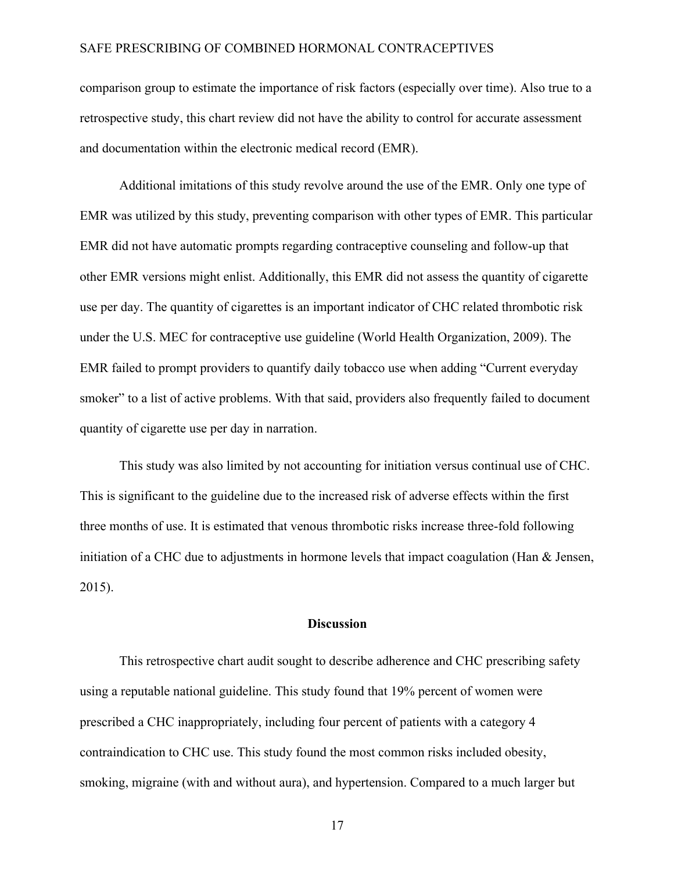comparison group to estimate the importance of risk factors (especially over time). Also true to a retrospective study, this chart review did not have the ability to control for accurate assessment and documentation within the electronic medical record (EMR).

Additional imitations of this study revolve around the use of the EMR. Only one type of EMR was utilized by this study, preventing comparison with other types of EMR. This particular EMR did not have automatic prompts regarding contraceptive counseling and follow-up that other EMR versions might enlist. Additionally, this EMR did not assess the quantity of cigarette use per day. The quantity of cigarettes is an important indicator of CHC related thrombotic risk under the U.S. MEC for contraceptive use guideline (World Health Organization, 2009). The EMR failed to prompt providers to quantify daily tobacco use when adding "Current everyday smoker" to a list of active problems. With that said, providers also frequently failed to document quantity of cigarette use per day in narration.

This study was also limited by not accounting for initiation versus continual use of CHC. This is significant to the guideline due to the increased risk of adverse effects within the first three months of use. It is estimated that venous thrombotic risks increase three-fold following initiation of a CHC due to adjustments in hormone levels that impact coagulation (Han & Jensen, 2015).

#### **Discussion**

This retrospective chart audit sought to describe adherence and CHC prescribing safety using a reputable national guideline. This study found that 19% percent of women were prescribed a CHC inappropriately, including four percent of patients with a category 4 contraindication to CHC use. This study found the most common risks included obesity, smoking, migraine (with and without aura), and hypertension. Compared to a much larger but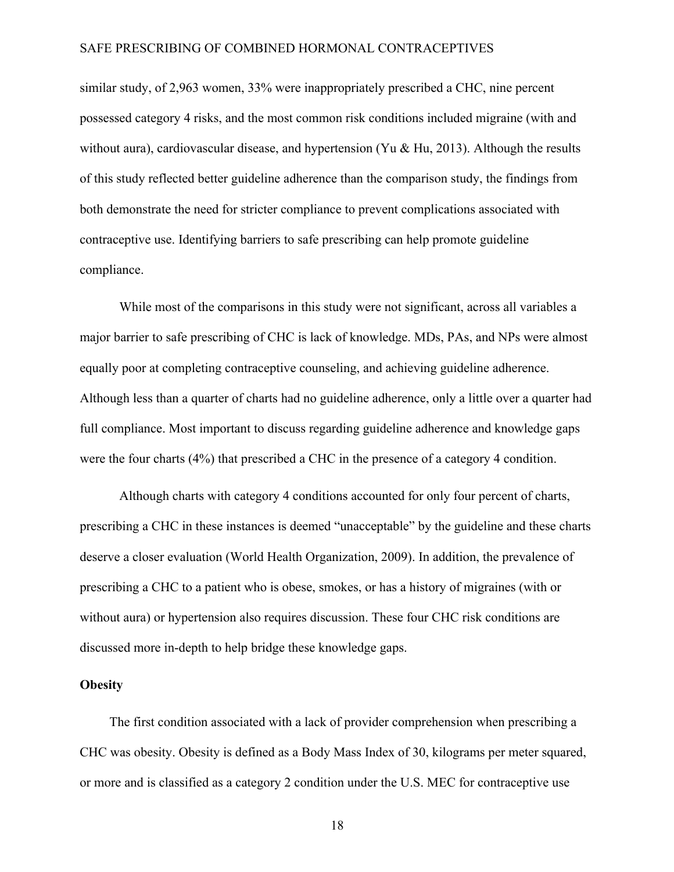similar study, of 2,963 women, 33% were inappropriately prescribed a CHC, nine percent possessed category 4 risks, and the most common risk conditions included migraine (with and without aura), cardiovascular disease, and hypertension (Yu & Hu, 2013). Although the results of this study reflected better guideline adherence than the comparison study, the findings from both demonstrate the need for stricter compliance to prevent complications associated with contraceptive use. Identifying barriers to safe prescribing can help promote guideline compliance.

While most of the comparisons in this study were not significant, across all variables a major barrier to safe prescribing of CHC is lack of knowledge. MDs, PAs, and NPs were almost equally poor at completing contraceptive counseling, and achieving guideline adherence. Although less than a quarter of charts had no guideline adherence, only a little over a quarter had full compliance. Most important to discuss regarding guideline adherence and knowledge gaps were the four charts (4%) that prescribed a CHC in the presence of a category 4 condition.

Although charts with category 4 conditions accounted for only four percent of charts, prescribing a CHC in these instances is deemed "unacceptable" by the guideline and these charts deserve a closer evaluation (World Health Organization, 2009). In addition, the prevalence of prescribing a CHC to a patient who is obese, smokes, or has a history of migraines (with or without aura) or hypertension also requires discussion. These four CHC risk conditions are discussed more in-depth to help bridge these knowledge gaps.

#### **Obesity**

The first condition associated with a lack of provider comprehension when prescribing a CHC was obesity. Obesity is defined as a Body Mass Index of 30, kilograms per meter squared, or more and is classified as a category 2 condition under the U.S. MEC for contraceptive use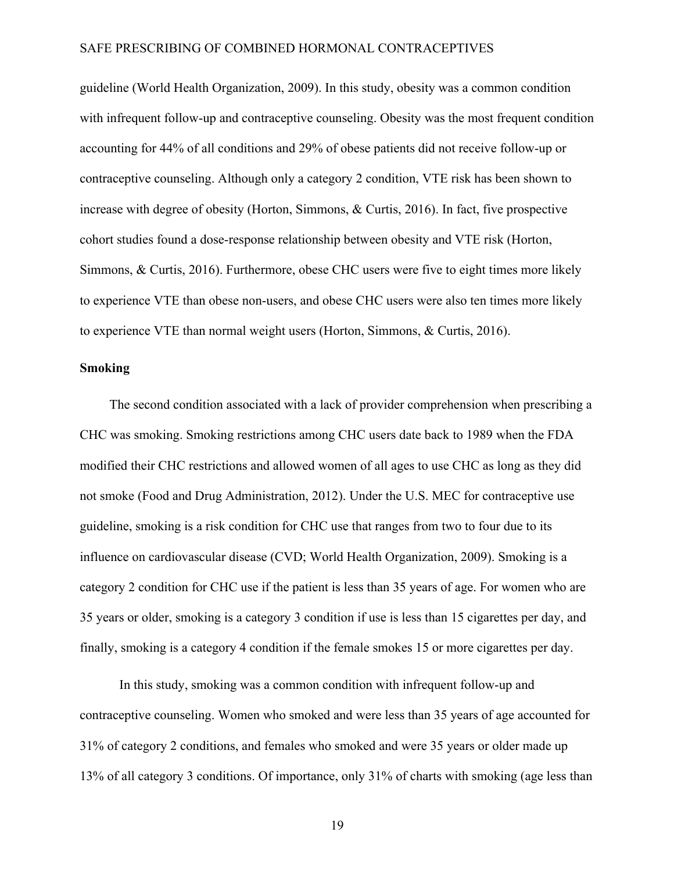guideline (World Health Organization, 2009). In this study, obesity was a common condition with infrequent follow-up and contraceptive counseling. Obesity was the most frequent condition accounting for 44% of all conditions and 29% of obese patients did not receive follow-up or contraceptive counseling. Although only a category 2 condition, VTE risk has been shown to increase with degree of obesity (Horton, Simmons, & Curtis, 2016). In fact, five prospective cohort studies found a dose-response relationship between obesity and VTE risk (Horton, Simmons, & Curtis, 2016). Furthermore, obese CHC users were five to eight times more likely to experience VTE than obese non-users, and obese CHC users were also ten times more likely to experience VTE than normal weight users (Horton, Simmons, & Curtis, 2016).

#### **Smoking**

The second condition associated with a lack of provider comprehension when prescribing a CHC was smoking. Smoking restrictions among CHC users date back to 1989 when the FDA modified their CHC restrictions and allowed women of all ages to use CHC as long as they did not smoke (Food and Drug Administration, 2012). Under the U.S. MEC for contraceptive use guideline, smoking is a risk condition for CHC use that ranges from two to four due to its influence on cardiovascular disease (CVD; World Health Organization, 2009). Smoking is a category 2 condition for CHC use if the patient is less than 35 years of age. For women who are 35 years or older, smoking is a category 3 condition if use is less than 15 cigarettes per day, and finally, smoking is a category 4 condition if the female smokes 15 or more cigarettes per day.

In this study, smoking was a common condition with infrequent follow-up and contraceptive counseling. Women who smoked and were less than 35 years of age accounted for 31% of category 2 conditions, and females who smoked and were 35 years or older made up 13% of all category 3 conditions. Of importance, only 31% of charts with smoking (age less than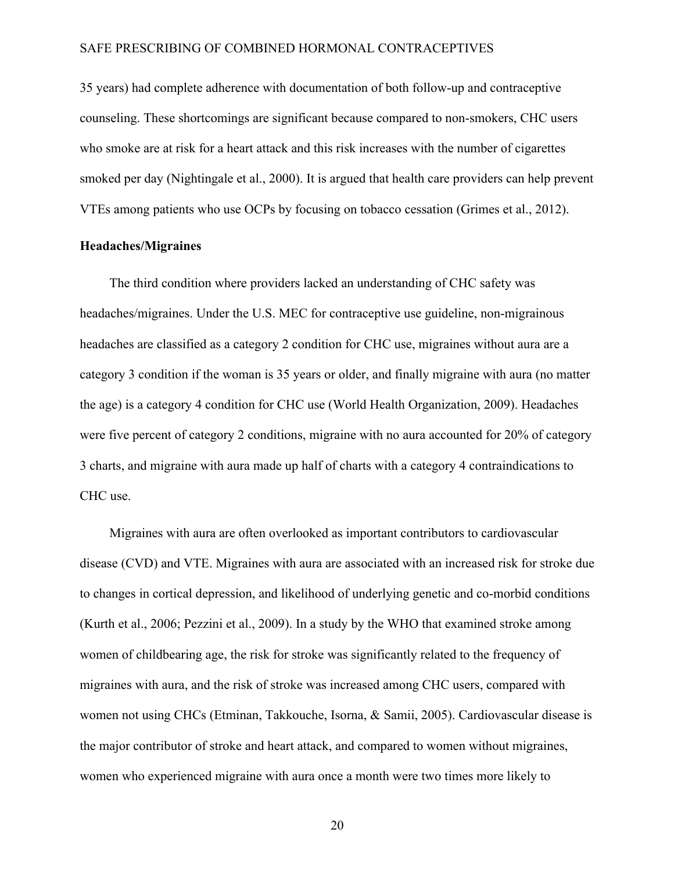35 years) had complete adherence with documentation of both follow-up and contraceptive counseling. These shortcomings are significant because compared to non-smokers, CHC users who smoke are at risk for a heart attack and this risk increases with the number of cigarettes smoked per day (Nightingale et al., 2000). It is argued that health care providers can help prevent VTEs among patients who use OCPs by focusing on tobacco cessation (Grimes et al., 2012).

#### **Headaches/Migraines**

The third condition where providers lacked an understanding of CHC safety was headaches/migraines. Under the U.S. MEC for contraceptive use guideline, non-migrainous headaches are classified as a category 2 condition for CHC use, migraines without aura are a category 3 condition if the woman is 35 years or older, and finally migraine with aura (no matter the age) is a category 4 condition for CHC use (World Health Organization, 2009). Headaches were five percent of category 2 conditions, migraine with no aura accounted for 20% of category 3 charts, and migraine with aura made up half of charts with a category 4 contraindications to CHC use.

Migraines with aura are often overlooked as important contributors to cardiovascular disease (CVD) and VTE. Migraines with aura are associated with an increased risk for stroke due to changes in cortical depression, and likelihood of underlying genetic and co-morbid conditions (Kurth et al., 2006; Pezzini et al., 2009). In a study by the WHO that examined stroke among women of childbearing age, the risk for stroke was significantly related to the frequency of migraines with aura, and the risk of stroke was increased among CHC users, compared with women not using CHCs (Etminan, Takkouche, Isorna, & Samii, 2005). Cardiovascular disease is the major contributor of stroke and heart attack, and compared to women without migraines, women who experienced migraine with aura once a month were two times more likely to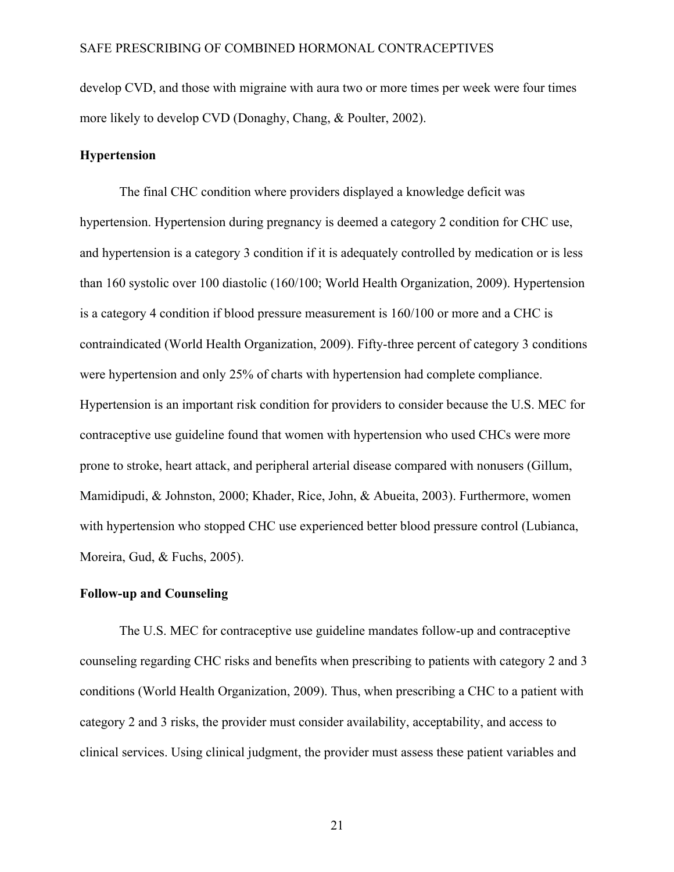develop CVD, and those with migraine with aura two or more times per week were four times more likely to develop CVD (Donaghy, Chang, & Poulter, 2002).

#### **Hypertension**

The final CHC condition where providers displayed a knowledge deficit was hypertension. Hypertension during pregnancy is deemed a category 2 condition for CHC use, and hypertension is a category 3 condition if it is adequately controlled by medication or is less than 160 systolic over 100 diastolic (160/100; World Health Organization, 2009). Hypertension is a category 4 condition if blood pressure measurement is 160/100 or more and a CHC is contraindicated (World Health Organization, 2009). Fifty-three percent of category 3 conditions were hypertension and only 25% of charts with hypertension had complete compliance. Hypertension is an important risk condition for providers to consider because the U.S. MEC for contraceptive use guideline found that women with hypertension who used CHCs were more prone to stroke, heart attack, and peripheral arterial disease compared with nonusers (Gillum, Mamidipudi, & Johnston, 2000; Khader, Rice, John, & Abueita, 2003). Furthermore, women with hypertension who stopped CHC use experienced better blood pressure control (Lubianca, Moreira, Gud, & Fuchs, 2005).

#### **Follow-up and Counseling**

The U.S. MEC for contraceptive use guideline mandates follow-up and contraceptive counseling regarding CHC risks and benefits when prescribing to patients with category 2 and 3 conditions (World Health Organization, 2009). Thus, when prescribing a CHC to a patient with category 2 and 3 risks, the provider must consider availability, acceptability, and access to clinical services. Using clinical judgment, the provider must assess these patient variables and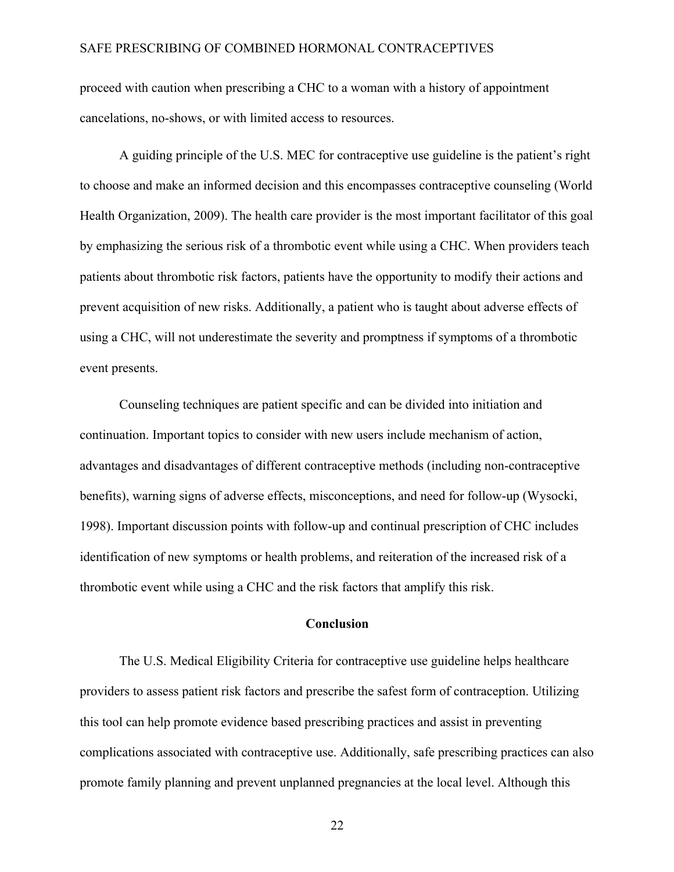proceed with caution when prescribing a CHC to a woman with a history of appointment cancelations, no-shows, or with limited access to resources.

A guiding principle of the U.S. MEC for contraceptive use guideline is the patient's right to choose and make an informed decision and this encompasses contraceptive counseling (World Health Organization, 2009). The health care provider is the most important facilitator of this goal by emphasizing the serious risk of a thrombotic event while using a CHC. When providers teach patients about thrombotic risk factors, patients have the opportunity to modify their actions and prevent acquisition of new risks. Additionally, a patient who is taught about adverse effects of using a CHC, will not underestimate the severity and promptness if symptoms of a thrombotic event presents.

Counseling techniques are patient specific and can be divided into initiation and continuation. Important topics to consider with new users include mechanism of action, advantages and disadvantages of different contraceptive methods (including non-contraceptive benefits), warning signs of adverse effects, misconceptions, and need for follow-up (Wysocki, 1998). Important discussion points with follow-up and continual prescription of CHC includes identification of new symptoms or health problems, and reiteration of the increased risk of a thrombotic event while using a CHC and the risk factors that amplify this risk.

#### **Conclusion**

The U.S. Medical Eligibility Criteria for contraceptive use guideline helps healthcare providers to assess patient risk factors and prescribe the safest form of contraception. Utilizing this tool can help promote evidence based prescribing practices and assist in preventing complications associated with contraceptive use. Additionally, safe prescribing practices can also promote family planning and prevent unplanned pregnancies at the local level. Although this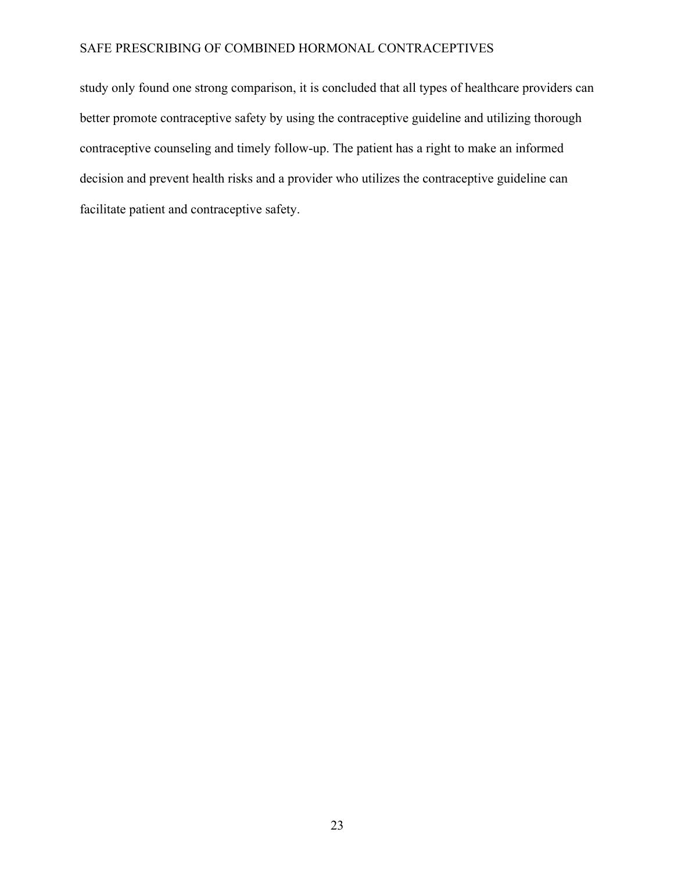study only found one strong comparison, it is concluded that all types of healthcare providers can better promote contraceptive safety by using the contraceptive guideline and utilizing thorough contraceptive counseling and timely follow-up. The patient has a right to make an informed decision and prevent health risks and a provider who utilizes the contraceptive guideline can facilitate patient and contraceptive safety.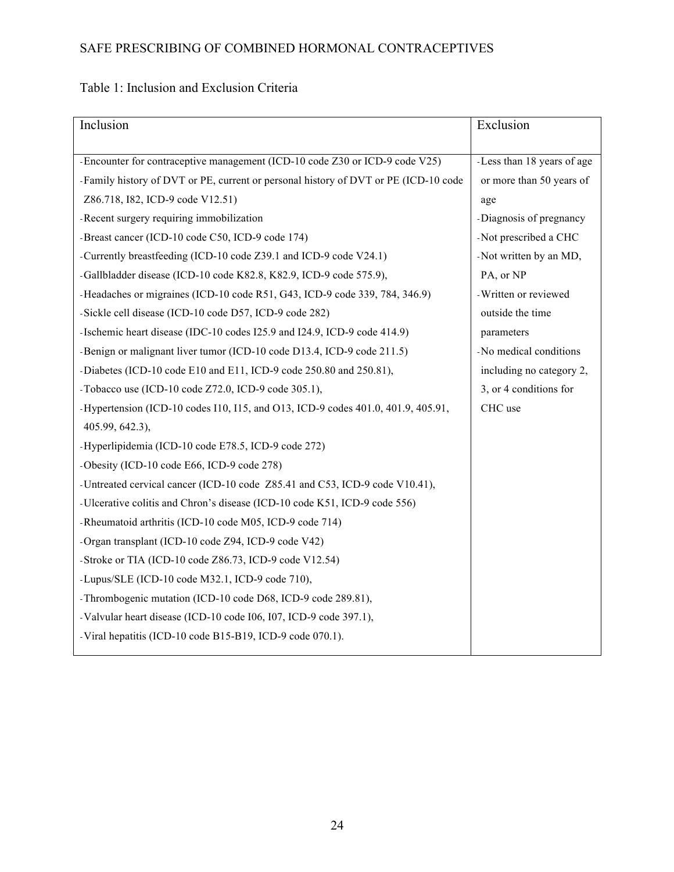### Table 1: Inclusion and Exclusion Criteria

| Inclusion                                                                           | Exclusion                  |
|-------------------------------------------------------------------------------------|----------------------------|
|                                                                                     |                            |
| -Encounter for contraceptive management (ICD-10 code Z30 or ICD-9 code V25)         | -Less than 18 years of age |
| -Family history of DVT or PE, current or personal history of DVT or PE (ICD-10 code | or more than 50 years of   |
| Z86.718, I82, ICD-9 code V12.51)                                                    | age                        |
| -Recent surgery requiring immobilization                                            | -Diagnosis of pregnancy    |
| -Breast cancer (ICD-10 code C50, ICD-9 code 174)                                    | -Not prescribed a CHC      |
| -Currently breastfeeding (ICD-10 code Z39.1 and ICD-9 code V24.1)                   | -Not written by an MD,     |
| -Gallbladder disease (ICD-10 code K82.8, K82.9, ICD-9 code 575.9),                  | PA, or NP                  |
| -Headaches or migraines (ICD-10 code R51, G43, ICD-9 code 339, 784, 346.9)          | -Written or reviewed       |
| -Sickle cell disease (ICD-10 code D57, ICD-9 code 282)                              | outside the time           |
| -Ischemic heart disease (IDC-10 codes I25.9 and I24.9, ICD-9 code 414.9)            | parameters                 |
| -Benign or malignant liver tumor (ICD-10 code D13.4, ICD-9 code 211.5)              | -No medical conditions     |
| -Diabetes (ICD-10 code E10 and E11, ICD-9 code 250.80 and 250.81),                  | including no category 2,   |
| -Tobacco use (ICD-10 code $Z72.0$ , ICD-9 code 305.1),                              | 3, or 4 conditions for     |
| -Hypertension (ICD-10 codes I10, I15, and O13, ICD-9 codes 401.0, 401.9, 405.91,    | CHC use                    |
| 405.99, 642.3),                                                                     |                            |
| -Hyperlipidemia (ICD-10 code E78.5, ICD-9 code 272)                                 |                            |
| -Obesity (ICD-10 code E66, ICD-9 code 278)                                          |                            |
| -Untreated cervical cancer (ICD-10 code Z85.41 and C53, ICD-9 code V10.41),         |                            |
| -Ulcerative colitis and Chron's disease (ICD-10 code K51, ICD-9 code 556)           |                            |
| -Rheumatoid arthritis (ICD-10 code M05, ICD-9 code 714)                             |                            |
| -Organ transplant (ICD-10 code Z94, ICD-9 code V42)                                 |                            |
| -Stroke or TIA (ICD-10 code Z86.73, ICD-9 code V12.54)                              |                            |
| -Lupus/SLE (ICD-10 code M32.1, ICD-9 code 710),                                     |                            |
| -Thrombogenic mutation (ICD-10 code D68, ICD-9 code 289.81),                        |                            |
| -Valvular heart disease (ICD-10 code I06, I07, ICD-9 code 397.1),                   |                            |
| -Viral hepatitis (ICD-10 code B15-B19, ICD-9 code 070.1).                           |                            |
|                                                                                     |                            |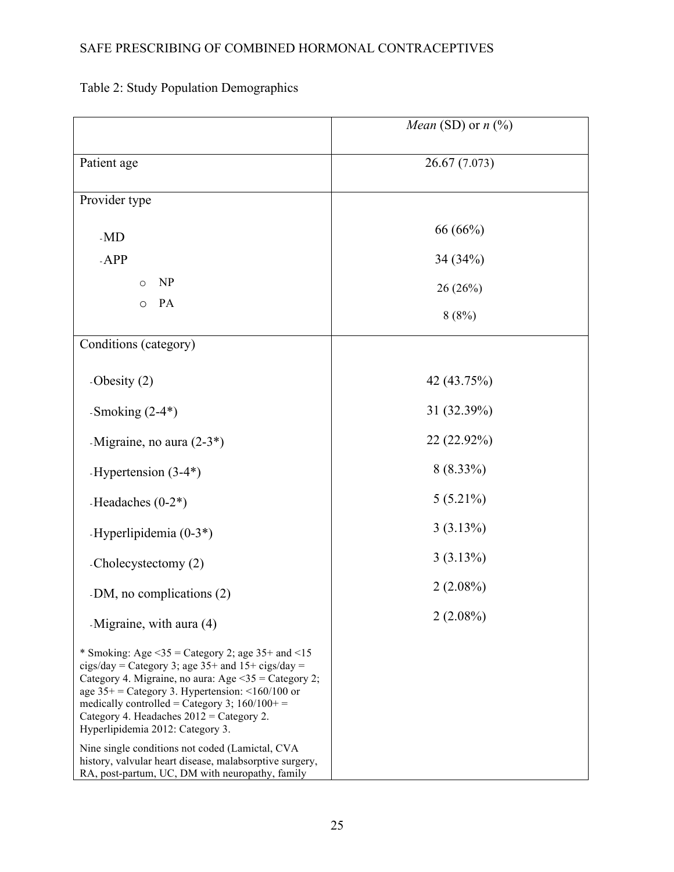### *Mean* (SD) or  $n \overline{(\%)}$ Patient age 26.67 (7.073) Provider type *-*MD *-*APP o NP o PA 66 (66%) 34 (34%) 26 (26%) 8 (8%) Conditions (category) *-*Obesity (2) *-*Smoking (2-4\*) *-*Migraine, no aura (2-3\*) *-*Hypertension (3-4\*) *-*Headaches (0-2\*) *-*Hyperlipidemia (0-3\*) *-*Cholecystectomy (2) *-*DM, no complications (2) *-*Migraine, with aura (4) \* Smoking: Age  $\leq$ 35 = Category 2; age 35+ and  $\leq$ 15 cigs/day = Category 3; age  $35+$  and  $15+$  cigs/day = Category 4. Migraine, no aura: Age  $\leq 35$  = Category 2; age  $35+$  = Category 3. Hypertension: <160/100 or medically controlled = Category 3;  $160/100+$  = Category 4. Headaches  $2012 =$ Category 2. Hyperlipidemia 2012: Category 3. Nine single conditions not coded (Lamictal, CVA history, valvular heart disease, malabsorptive surgery, RA, post-partum, UC, DM with neuropathy, family 42 (43.75%) 31 (32.39%) 22 (22.92%) 8 (8.33%) 5 (5.21%) 3 (3.13%) 3 (3.13%) 2 (2.08%) 2 (2.08%)

#### Table 2: Study Population Demographics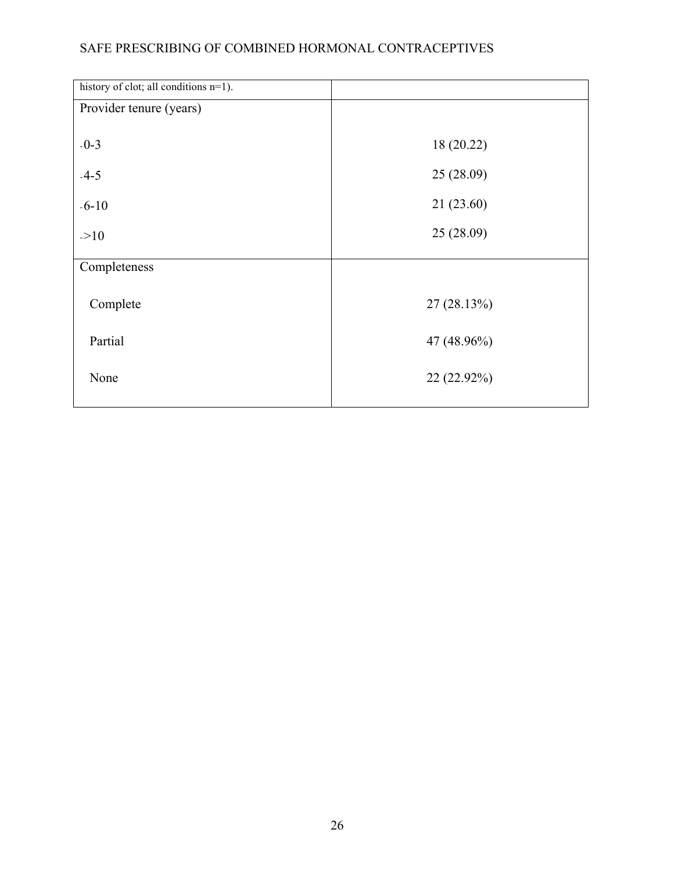| history of clot; all conditions n=1). |             |
|---------------------------------------|-------------|
| Provider tenure (years)               |             |
|                                       |             |
| $-0-3$                                | 18 (20.22)  |
| $-4-5$                                | 25(28.09)   |
| $-6 - 10$                             | 21(23.60)   |
| >10                                   | 25(28.09)   |
| Completeness                          |             |
|                                       |             |
| Complete                              | 27(28.13%)  |
| Partial                               | 47 (48.96%) |
| None                                  | 22 (22.92%) |
|                                       |             |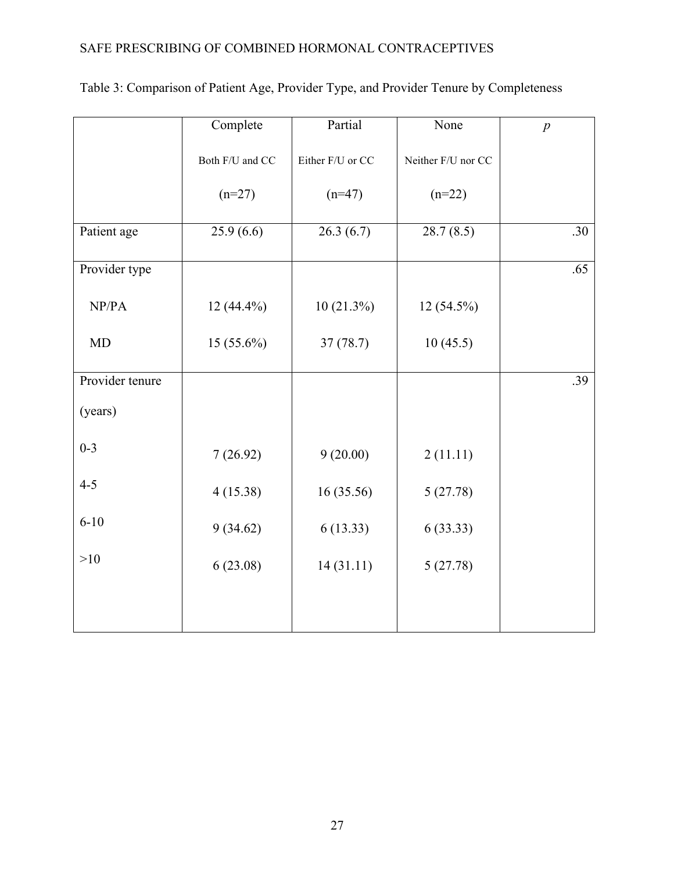|                 | Complete        | Partial          | None               | $\boldsymbol{p}$ |
|-----------------|-----------------|------------------|--------------------|------------------|
|                 | Both F/U and CC | Either F/U or CC | Neither F/U nor CC |                  |
|                 | $(n=27)$        | $(n=47)$         | $(n=22)$           |                  |
| Patient age     | 25.9(6.6)       | 26.3(6.7)        | 28.7(8.5)          | .30              |
| Provider type   |                 |                  |                    | .65              |
| NP/PA           | $12(44.4\%)$    | 10(21.3%)        | 12 (54.5%)         |                  |
| <b>MD</b>       | 15 (55.6%)      | 37(78.7)         | 10(45.5)           |                  |
| Provider tenure |                 |                  |                    | .39              |
| (years)         |                 |                  |                    |                  |
| $0 - 3$         | 7(26.92)        | 9(20.00)         | 2(11.11)           |                  |
| $4 - 5$         | 4(15.38)        | 16(35.56)        | 5(27.78)           |                  |
| $6 - 10$        | 9(34.62)        | 6(13.33)         | 6(33.33)           |                  |
| >10             | 6(23.08)        | 14(31.11)        | 5(27.78)           |                  |
|                 |                 |                  |                    |                  |
|                 |                 |                  |                    |                  |

# Table 3: Comparison of Patient Age, Provider Type, and Provider Tenure by Completeness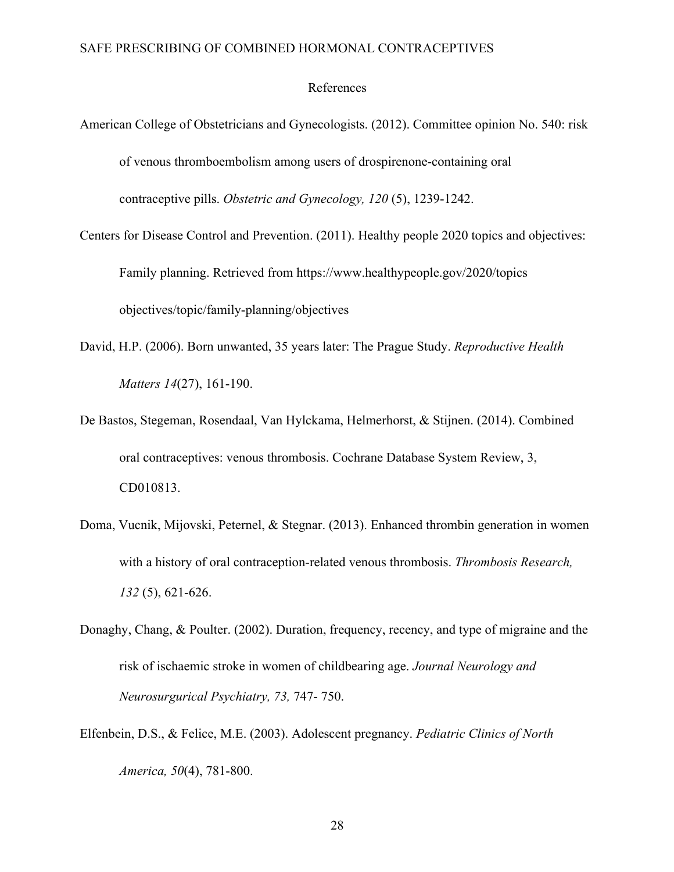#### References

- American College of Obstetricians and Gynecologists. (2012). Committee opinion No. 540: risk of venous thromboembolism among users of drospirenone-containing oral contraceptive pills. *Obstetric and Gynecology, 120* (5), 1239-1242.
- Centers for Disease Control and Prevention. (2011). Healthy people 2020 topics and objectives: Family planning. Retrieved from https://www.healthypeople.gov/2020/topics objectives/topic/family-planning/objectives
- David, H.P. (2006). Born unwanted, 35 years later: The Prague Study. *Reproductive Health Matters 14*(27), 161-190.
- De Bastos, Stegeman, Rosendaal, Van Hylckama, Helmerhorst, & Stijnen. (2014). Combined oral contraceptives: venous thrombosis. Cochrane Database System Review, 3, CD010813.
- Doma, Vucnik, Mijovski, Peternel, & Stegnar. (2013). Enhanced thrombin generation in women with a history of oral contraception-related venous thrombosis. *Thrombosis Research, 132* (5), 621-626.
- Donaghy, Chang, & Poulter. (2002). Duration, frequency, recency, and type of migraine and the risk of ischaemic stroke in women of childbearing age. *Journal Neurology and Neurosurgurical Psychiatry, 73,* 747- 750.
- Elfenbein, D.S., & Felice, M.E. (2003). Adolescent pregnancy. *Pediatric Clinics of North America, 50*(4), 781-800.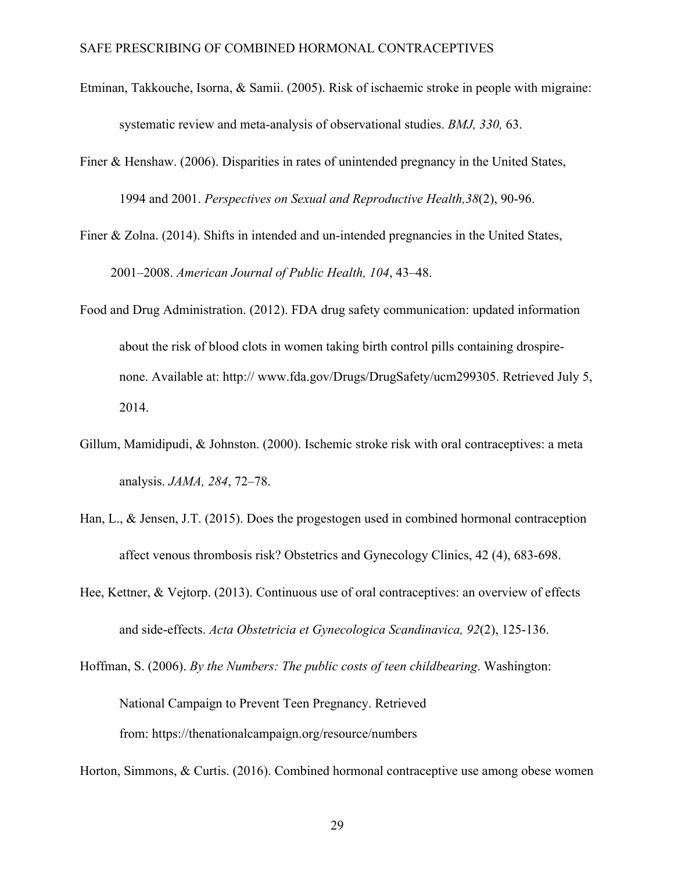- Etminan, Takkouche, Isorna, & Samii. (2005). Risk of ischaemic stroke in people with migraine: systematic review and meta-analysis of observational studies. *BMJ, 330,* 63.
- Finer & Henshaw. (2006). Disparities in rates of unintended pregnancy in the United States, 1994 and 2001. *Perspectives on Sexual and Reproductive Health,38*(2), 90-96.
- Finer & Zolna. (2014). Shifts in intended and un-intended pregnancies in the United States, 2001–2008. *American Journal of Public Health, 104*, 43–48.
- Food and Drug Administration. (2012). FDA drug safety communication: updated information about the risk of blood clots in women taking birth control pills containing drospirenone. Available at: http:// www.fda.gov/Drugs/DrugSafety/ucm299305. Retrieved July 5, 2014.
- Gillum, Mamidipudi, & Johnston. (2000). Ischemic stroke risk with oral contraceptives: a meta analysis. *JAMA, 284*, 72–78.
- Han, L., & Jensen, J.T. (2015). Does the progestogen used in combined hormonal contraception affect venous thrombosis risk? Obstetrics and Gynecology Clinics, 42 (4), 683-698.
- Hee, Kettner, & Vejtorp. (2013). Continuous use of oral contraceptives: an overview of effects and side-effects. *Acta Obstetricia et Gynecologica Scandinavica, 92*(2), 125-136.
- Hoffman, S. (2006). *By the Numbers: The public costs of teen childbearing*. Washington: National Campaign to Prevent Teen Pregnancy. Retrieved from: https://thenationalcampaign.org/resource/numbers

Horton, Simmons, & Curtis. (2016). Combined hormonal contraceptive use among obese women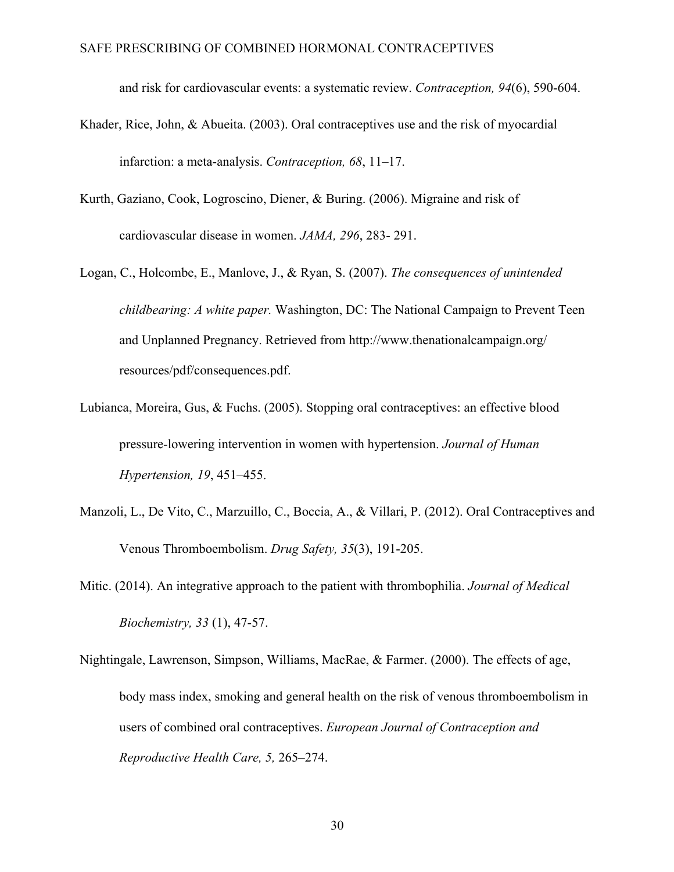and risk for cardiovascular events: a systematic review. *Contraception, 94*(6), 590-604.

- Khader, Rice, John, & Abueita. (2003). Oral contraceptives use and the risk of myocardial infarction: a meta-analysis. *Contraception, 68*, 11–17.
- Kurth, Gaziano, Cook, Logroscino, Diener, & Buring. (2006). Migraine and risk of cardiovascular disease in women. *JAMA, 296*, 283- 291.
- Logan, C., Holcombe, E., Manlove, J., & Ryan, S. (2007). *The consequences of unintended childbearing: A white paper.* Washington, DC: The National Campaign to Prevent Teen and Unplanned Pregnancy. Retrieved from http://www.thenationalcampaign.org/ resources/pdf/consequences.pdf.
- Lubianca, Moreira, Gus, & Fuchs. (2005). Stopping oral contraceptives: an effective blood pressure-lowering intervention in women with hypertension. *Journal of Human Hypertension, 19*, 451–455.
- Manzoli, L., De Vito, C., Marzuillo, C., Boccia, A., & Villari, P. (2012). Oral Contraceptives and Venous Thromboembolism. *Drug Safety, 35*(3), 191-205.
- Mitic. (2014). An integrative approach to the patient with thrombophilia. *Journal of Medical Biochemistry, 33* (1), 47-57.
- Nightingale, Lawrenson, Simpson, Williams, MacRae, & Farmer. (2000). The effects of age, body mass index, smoking and general health on the risk of venous thromboembolism in users of combined oral contraceptives. *European Journal of Contraception and Reproductive Health Care, 5,* 265–274.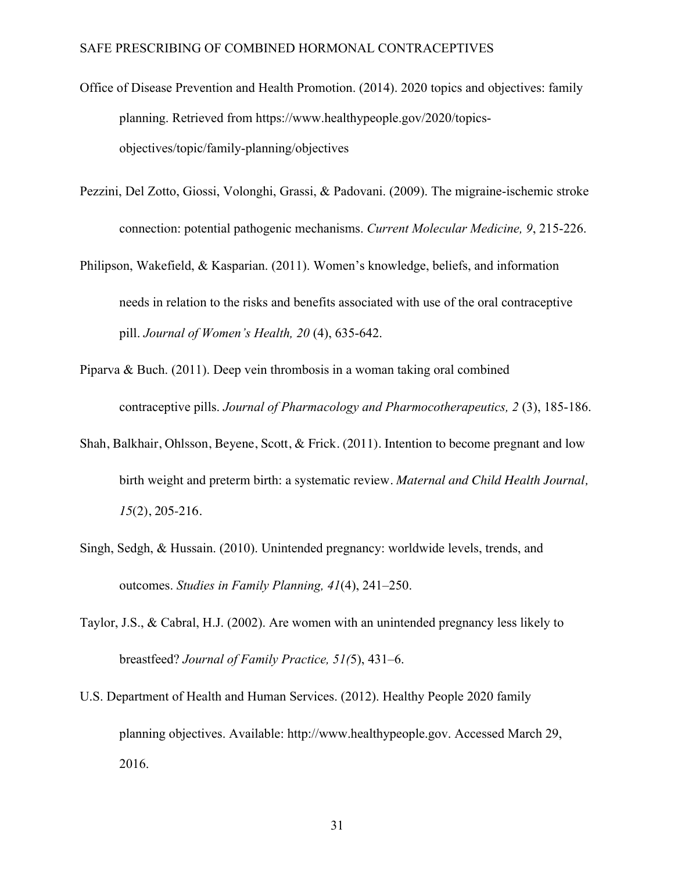- Office of Disease Prevention and Health Promotion. (2014). 2020 topics and objectives: family planning. Retrieved from https://www.healthypeople.gov/2020/topicsobjectives/topic/family-planning/objectives
- Pezzini, Del Zotto, Giossi, Volonghi, Grassi, & Padovani. (2009). The migraine-ischemic stroke connection: potential pathogenic mechanisms. *Current Molecular Medicine, 9*, 215-226.
- Philipson, Wakefield, & Kasparian. (2011). Women's knowledge, beliefs, and information needs in relation to the risks and benefits associated with use of the oral contraceptive pill. *Journal of Women's Health, 20* (4), 635-642.
- Piparva & Buch. (2011). Deep vein thrombosis in a woman taking oral combined contraceptive pills. *Journal of Pharmacology and Pharmocotherapeutics, 2* (3), 185-186.
- Shah, Balkhair, Ohlsson, Beyene, Scott, & Frick. (2011). Intention to become pregnant and low birth weight and preterm birth: a systematic review. *Maternal and Child Health Journal, 15*(2), 205-216.
- Singh, Sedgh, & Hussain. (2010). Unintended pregnancy: worldwide levels, trends, and outcomes. *Studies in Family Planning, 41*(4), 241–250.
- Taylor, J.S., & Cabral, H.J. (2002). Are women with an unintended pregnancy less likely to breastfeed? *Journal of Family Practice, 51(*5), 431–6.
- U.S. Department of Health and Human Services. (2012). Healthy People 2020 family planning objectives. Available: http://www.healthypeople.gov. Accessed March 29, 2016.